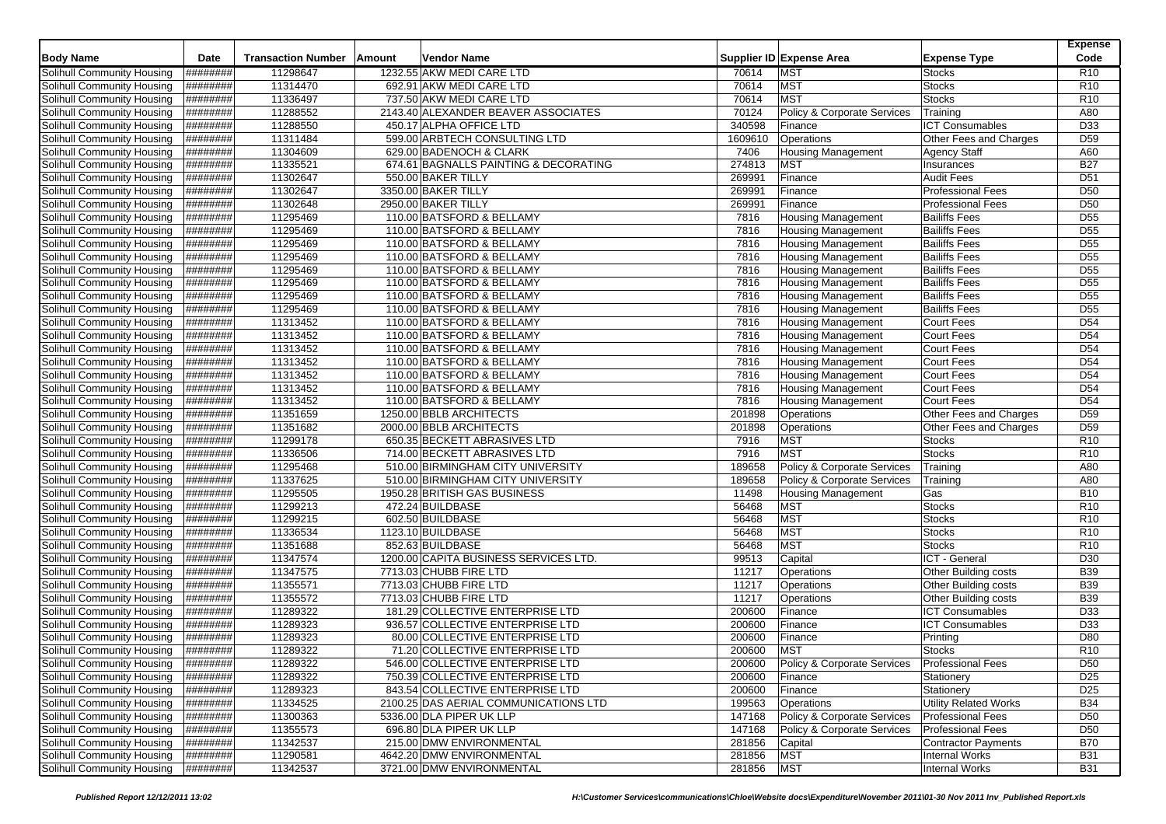|                                   |                   |                           |        |                                       |         |                             |                              | <b>Expense</b>  |
|-----------------------------------|-------------------|---------------------------|--------|---------------------------------------|---------|-----------------------------|------------------------------|-----------------|
| <b>Body Name</b>                  | <b>Date</b>       | <b>Transaction Number</b> | Amount | Vendor Name                           |         | Supplier ID Expense Area    | <b>Expense Type</b>          | Code            |
| Solihull Community Housing        | ########          | 11298647                  |        | 1232.55 AKW MEDI CARE LTD             | 70614   | <b>MST</b>                  | <b>Stocks</b>                | R <sub>10</sub> |
| Solihull Community Housing        | ########          | 11314470                  |        | 692.91 AKW MEDI CARE LTD              | 70614   | <b>MST</b>                  | Stocks                       | R <sub>10</sub> |
| Solihull Community Housing        | ########          | 11336497                  |        | 737.50 AKW MEDI CARE LTD              | 70614   | <b>MST</b>                  | <b>Stocks</b>                | R <sub>10</sub> |
| Solihull Community Housing        | ########          | 11288552                  |        | 2143.40 ALEXANDER BEAVER ASSOCIATES   | 70124   | Policy & Corporate Services | Training                     | A80             |
| <b>Solihull Community Housing</b> | ########          | 11288550                  |        | 450.17 ALPHA OFFICE LTD               | 340598  | Finance                     | <b>ICT Consumables</b>       | D33             |
| Solihull Community Housing        | ########          | 11311484                  |        | 599.00 ARBTECH CONSULTING LTD         | 1609610 | Operations                  | Other Fees and Charges       | D <sub>59</sub> |
| Solihull Community Housing        | ########          | 11304609                  |        | 629.00 BADENOCH & CLARK               | 7406    | <b>Housing Management</b>   | <b>Agency Staff</b>          | A60             |
| Solihull Community Housing        | ########          | 11335521                  |        | 674.61 BAGNALLS PAINTING & DECORATING | 274813  | <b>MST</b>                  | Insurances                   | <b>B27</b>      |
| Solihull Community Housing        | ########          | 11302647                  |        | 550.00 BAKER TILLY                    | 269991  | Finance                     | <b>Audit Fees</b>            | D <sub>51</sub> |
| Solihull Community Housing        | ########          | 11302647                  |        | 3350.00 BAKER TILLY                   | 269991  | Finance                     | <b>Professional Fees</b>     | D <sub>50</sub> |
| <b>Solihull Community Housing</b> | ########          | 11302648                  |        | 2950.00 BAKER TILLY                   | 269991  | Finance                     | <b>Professional Fees</b>     | D <sub>50</sub> |
| Solihull Community Housing        | ########          | 11295469                  |        | 110.00 BATSFORD & BELLAMY             | 7816    | <b>Housing Management</b>   | <b>Bailiffs Fees</b>         | D <sub>55</sub> |
| Solihull Community Housing        | ########          | 11295469                  |        | 110.00 BATSFORD & BELLAMY             | 7816    | <b>Housing Management</b>   | <b>Bailiffs Fees</b>         | D <sub>55</sub> |
| <b>Solihull Community Housing</b> | ########          | 11295469                  |        | 110.00 BATSFORD & BELLAMY             | 7816    | Housing Management          | <b>Bailiffs Fees</b>         | D <sub>55</sub> |
| Solihull Community Housing        | <b>##########</b> | 11295469                  |        | 110.00 BATSFORD & BELLAMY             | 7816    | Housing Management          | <b>Bailiffs Fees</b>         | D <sub>55</sub> |
| Solihull Community Housing        | ########          | 11295469                  |        | 110.00 BATSFORD & BELLAMY             | 7816    | <b>Housing Management</b>   | <b>Bailiffs Fees</b>         | D <sub>55</sub> |
| Solihull Community Housing        | ########          | 11295469                  |        | 110.00 BATSFORD & BELLAMY             | 7816    | <b>Housing Management</b>   | <b>Bailiffs Fees</b>         | D <sub>55</sub> |
| <b>Solihull Community Housing</b> | ########          | 11295469                  |        | 110.00 BATSFORD & BELLAMY             | 7816    | <b>Housing Management</b>   | <b>Bailiffs Fees</b>         | D <sub>55</sub> |
| Solihull Community Housing        | ########          | 11295469                  |        | 110.00 BATSFORD & BELLAMY             | 7816    | <b>Housing Management</b>   | <b>Bailiffs Fees</b>         | D <sub>55</sub> |
| Solihull Community Housing        | ########          | 11313452                  |        | 110.00 BATSFORD & BELLAMY             | 7816    | <b>Housing Management</b>   | <b>Court Fees</b>            | D <sub>54</sub> |
| Solihull Community Housing        | ########          | 11313452                  |        | 110.00 BATSFORD & BELLAMY             | 7816    | Housing Management          | Court Fees                   | D <sub>54</sub> |
| Solihull Community Housing        | ########          | 11313452                  |        | 110.00 BATSFORD & BELLAMY             | 7816    | <b>Housing Management</b>   | <b>Court Fees</b>            | D <sub>54</sub> |
| Solihull Community Housing        | ########          | 11313452                  |        | 110.00 BATSFORD & BELLAMY             | 7816    | <b>Housing Management</b>   | <b>Court Fees</b>            | D <sub>54</sub> |
| Solihull Community Housing        | ########          | 11313452                  |        | 110.00 BATSFORD & BELLAMY             | 7816    | <b>Housing Management</b>   | <b>Court Fees</b>            | D <sub>54</sub> |
| Solihull Community Housing        | ########          | 11313452                  |        | 110.00 BATSFORD & BELLAMY             | 7816    | <b>Housing Management</b>   | Court Fees                   | D <sub>54</sub> |
| Solihull Community Housing        | ########          | 11313452                  |        | 110.00 BATSFORD & BELLAMY             | 7816    | <b>Housing Management</b>   | <b>Court Fees</b>            | D <sub>54</sub> |
| Solihull Community Housing        | ########          | 11351659                  |        | 1250.00 BBLB ARCHITECTS               | 201898  | Operations                  | Other Fees and Charges       | D <sub>59</sub> |
| Solihull Community Housing        | ########          | 11351682                  |        | 2000.00 BBLB ARCHITECTS               | 201898  | Operations                  | Other Fees and Charges       | D <sub>59</sub> |
| Solihull Community Housing        | <b>H########</b>  | 11299178                  |        | 650.35 BECKETT ABRASIVES LTD          | 7916    | <b>MST</b>                  | <b>Stocks</b>                | R <sub>10</sub> |
| Solihull Community Housing        | ########          | 11336506                  |        | 714.00 BECKETT ABRASIVES LTD          | 7916    | <b>MST</b>                  | <b>Stocks</b>                | R <sub>10</sub> |
| <b>Solihull Community Housing</b> | ########          | 11295468                  |        | 510.00 BIRMINGHAM CITY UNIVERSITY     | 189658  | Policy & Corporate Services | Training                     | A80             |
| Solihull Community Housing        | ########          | 11337625                  |        | 510.00 BIRMINGHAM CITY UNIVERSITY     | 189658  | Policy & Corporate Services | Training                     | A80             |
| <b>Solihull Community Housing</b> | <b>H#######</b>   | 11295505                  |        | 1950.28 BRITISH GAS BUSINESS          | 11498   | <b>Housing Management</b>   | Gas                          | <b>B10</b>      |
| Solihull Community Housing        | ########          | 11299213                  |        | 472.24 BUILDBASE                      | 56468   | <b>MST</b>                  | <b>Stocks</b>                | R <sub>10</sub> |
| Solihull Community Housing        | <b>H########</b>  | 11299215                  |        | 602.50 BUILDBASE                      | 56468   | <b>MST</b>                  | <b>Stocks</b>                | R <sub>10</sub> |
| <b>Solihull Community Housing</b> | ########          | 11336534                  |        | 1123.10 BUILDBASE                     | 56468   | <b>MST</b>                  | <b>Stocks</b>                | R <sub>10</sub> |
| Solihull Community Housing        | ########          | 11351688                  |        | 852.63 BUILDBASE                      | 56468   | <b>MST</b>                  | <b>Stocks</b>                | R <sub>10</sub> |
| Solihull Community Housing        | ########          | 11347574                  |        | 1200.00 CAPITA BUSINESS SERVICES LTD. | 99513   | Capital                     | ICT - General                | D <sub>30</sub> |
| Solihull Community Housing        | ########          | 11347575                  |        | 7713.03 CHUBB FIRE LTD                | 11217   | Operations                  | Other Building costs         | <b>B39</b>      |
| Solihull Community Housing        | ########          | 11355571                  |        | 7713.03 CHUBB FIRE LTD                | 11217   | Operations                  | Other Building costs         | <b>B39</b>      |
| Solihull Community Housing        | ########          | 11355572                  |        | 7713.03 CHUBB FIRE LTD                | 11217   | Operations                  | Other Building costs         | <b>B39</b>      |
| Solihull Community Housing        | ########          | 11289322                  |        | 181.29 COLLECTIVE ENTERPRISE LTD      | 200600  | Finance                     | <b>ICT Consumables</b>       | D33             |
| Solihull Community Housing        | ########          | 11289323                  |        | 936.57 COLLECTIVE ENTERPRISE LTD      | 200600  | Finance                     | <b>ICT Consumables</b>       | D33             |
| Solihull Community Housing        | ########          | 11289323                  |        | 80.00 COLLECTIVE ENTERPRISE LTD       | 200600  | Finance                     | Printing                     | D80             |
| <b>Solihull Community Housing</b> | ########          | 11289322                  |        | 71.20 COLLECTIVE ENTERPRISE LTD       | 200600  | <b>MST</b>                  | <b>Stocks</b>                | R10             |
| Solihull Community Housing        | ########          | 11289322                  |        | 546.00 COLLECTIVE ENTERPRISE LTD      | 200600  | Policy & Corporate Services | <b>Professional Fees</b>     | D <sub>50</sub> |
| Solihull Community Housing        | ########          | 11289322                  |        | 750.39 COLLECTIVE ENTERPRISE LTD      | 200600  | Finance                     | Stationery                   | D <sub>25</sub> |
| Solihull Community Housing        | ########          | 11289323                  |        | 843.54 COLLECTIVE ENTERPRISE LTD      | 200600  | Finance                     | Stationery                   | D <sub>25</sub> |
| Solihull Community Housing        | $ $ ########      | 11334525                  |        | 2100.25 DAS AERIAL COMMUNICATIONS LTD | 199563  | Operations                  | <b>Utility Related Works</b> | <b>B34</b>      |
| Solihull Community Housing        | ########          | 11300363                  |        | 5336.00 DLA PIPER UK LLP              | 147168  | Policy & Corporate Services | <b>Professional Fees</b>     | D <sub>50</sub> |
| Solihull Community Housing        | ########          | 11355573                  |        | 696.80 DLA PIPER UK LLP               | 147168  | Policy & Corporate Services | <b>Professional Fees</b>     | D <sub>50</sub> |
| Solihull Community Housing        | ########          | 11342537                  |        | 215.00 DMW ENVIRONMENTAL              | 281856  | Capital                     | <b>Contractor Payments</b>   | <b>B70</b>      |
| Solihull Community Housing        | ########          | 11290581                  |        | 4642.20 DMW ENVIRONMENTAL             | 281856  | <b>MST</b>                  | <b>Internal Works</b>        | <b>B31</b>      |
| Solihull Community Housing        | ########          | 11342537                  |        | 3721.00 DMW ENVIRONMENTAL             | 281856  | <b>MST</b>                  | <b>Internal Works</b>        | <b>B31</b>      |
|                                   |                   |                           |        |                                       |         |                             |                              |                 |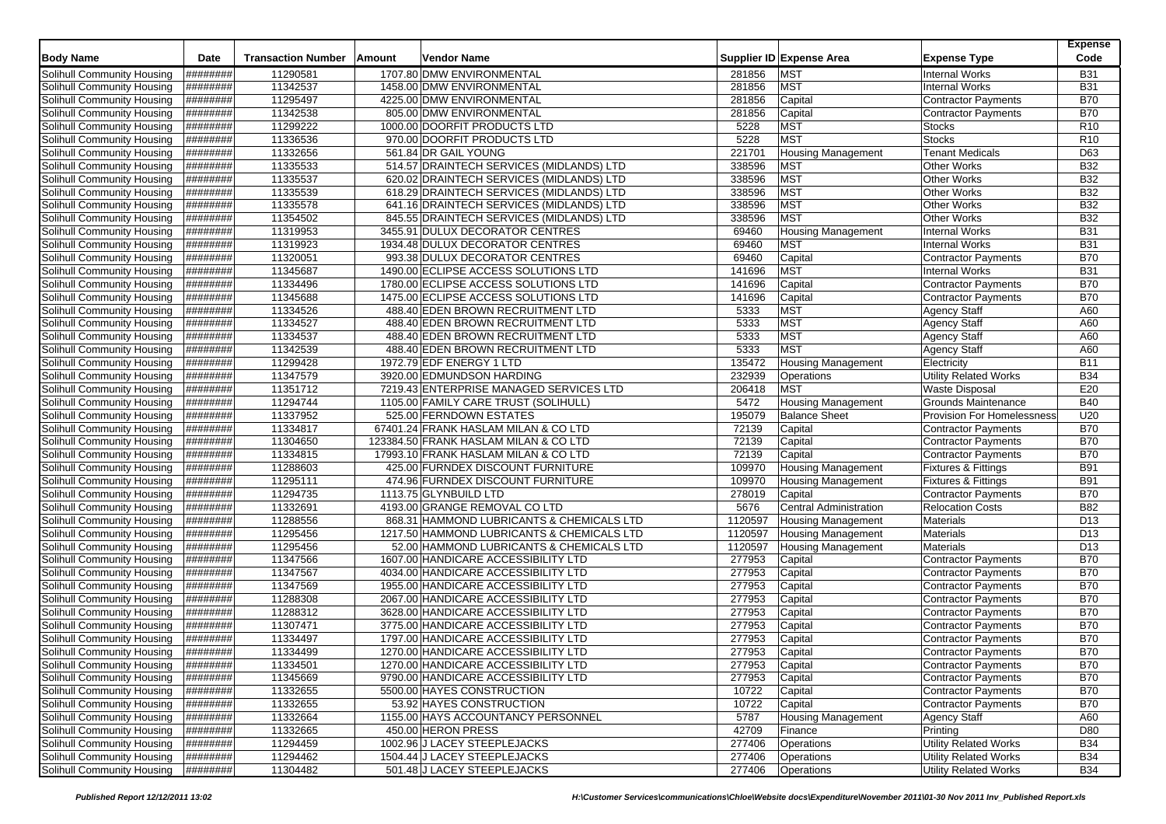|                            | Date     |                           |               | Vendor Name                                                                |         |                               |                                   | <b>Expense</b>           |
|----------------------------|----------|---------------------------|---------------|----------------------------------------------------------------------------|---------|-------------------------------|-----------------------------------|--------------------------|
| <b>Body Name</b>           |          | <b>Transaction Number</b> | <b>Amount</b> |                                                                            |         | Supplier ID Expense Area      | <b>Expense Type</b>               | Code                     |
| Solihull Community Housing | ######## | 11290581                  |               | 1707.80 DMW ENVIRONMENTAL                                                  | 281856  | <b>MST</b>                    | <b>Internal Works</b>             | <b>B31</b>               |
| Solihull Community Housing | ######## | 11342537                  |               | 1458.00 DMW ENVIRONMENTAL                                                  | 281856  | <b>MST</b>                    | <b>Internal Works</b>             | <b>B31</b>               |
| Solihull Community Housing | ######## | 11295497                  |               | 4225.00 DMW ENVIRONMENTAL                                                  | 281856  | Capital                       | <b>Contractor Payments</b>        | <b>B70</b>               |
| Solihull Community Housing | ######## | 11342538                  |               | 805.00 DMW ENVIRONMENTAL                                                   | 281856  | Capital                       | <b>Contractor Payments</b>        | <b>B70</b>               |
| Solihull Community Housing | ######## | 11299222                  |               | 1000.00 DOORFIT PRODUCTS LTD                                               | 5228    | <b>MST</b>                    | <b>Stocks</b>                     | R <sub>10</sub>          |
| Solihull Community Housing | ######## | 11336536                  |               | 970.00 DOORFIT PRODUCTS LTD                                                | 5228    | <b>MST</b>                    | <b>Stocks</b>                     | R <sub>10</sub>          |
| Solihull Community Housing | ######## | 11332656                  |               | 561.84 DR GAIL YOUNG                                                       | 221701  | <b>Housing Management</b>     | <b>Tenant Medicals</b>            | D63                      |
| Solihull Community Housing | ######## | 11335533                  |               | 514.57 DRAINTECH SERVICES (MIDLANDS) LTD                                   | 338596  | MST                           | <b>Other Works</b>                | <b>B32</b>               |
| Solihull Community Housing | ######## | 11335537                  |               | 620.02 DRAINTECH SERVICES (MIDLANDS) LTD                                   | 338596  | <b>MST</b>                    | <b>Other Works</b>                | <b>B32</b>               |
| Solihull Community Housing | ######## | 11335539                  |               | 618.29 DRAINTECH SERVICES (MIDLANDS) LTD                                   | 338596  | <b>MST</b>                    | <b>Other Works</b>                | <b>B32</b>               |
| Solihull Community Housing | ######## | 11335578                  |               | 641.16 DRAINTECH SERVICES (MIDLANDS) LTD                                   | 338596  | <b>MST</b>                    | Other Works                       | <b>B32</b>               |
| Solihull Community Housing | ######## | 11354502                  |               | 845.55 DRAINTECH SERVICES (MIDLANDS) LTD                                   | 338596  | <b>MST</b>                    | Other Works                       | <b>B32</b>               |
| Solihull Community Housing | ######## | 11319953                  |               | 3455.91 DULUX DECORATOR CENTRES                                            | 69460   | <b>Housing Management</b>     | <b>Internal Works</b>             | <b>B31</b>               |
| Solihull Community Housing | ######## | 11319923                  |               | 1934.48 DULUX DECORATOR CENTRES                                            | 69460   | MST                           | <b>Internal Works</b>             | <b>B31</b>               |
| Solihull Community Housing | ######## | 11320051                  |               | 993.38 DULUX DECORATOR CENTRES                                             | 69460   | Capital                       | Contractor Payments               | <b>B70</b>               |
| Solihull Community Housing | ######## | 11345687                  |               | 1490.00 ECLIPSE ACCESS SOLUTIONS LTD                                       | 141696  | <b>MST</b>                    | <b>Internal Works</b>             | <b>B31</b>               |
| Solihull Community Housing | ######## | 11334496                  |               | 1780.00 ECLIPSE ACCESS SOLUTIONS LTD                                       | 141696  | Capital                       | Contractor Payments               | <b>B70</b>               |
| Solihull Community Housing | ######## | 11345688                  |               | 1475.00 ECLIPSE ACCESS SOLUTIONS LTD                                       | 141696  | Capital                       | <b>Contractor Payments</b>        | <b>B70</b>               |
| Solihull Community Housing | ######## | 11334526                  |               | 488.40 EDEN BROWN RECRUITMENT LTD                                          | 5333    | <b>MST</b>                    | <b>Agency Staff</b>               | A60                      |
| Solihull Community Housing | ######## | 11334527                  |               | 488.40 EDEN BROWN RECRUITMENT LTD                                          | 5333    | <b>MST</b>                    | <b>Agency Staff</b>               | A60                      |
| Solihull Community Housing | ######## | 11334537                  |               | 488.40 EDEN BROWN RECRUITMENT LTD                                          | 5333    | <b>MST</b>                    | <b>Agency Staff</b>               | A60                      |
| Solihull Community Housing | ######## | 11342539                  |               | 488.40 EDEN BROWN RECRUITMENT LTD                                          | 5333    | <b>MST</b>                    | <b>Agency Staff</b>               | A60                      |
| Solihull Community Housing | ######## | 11299428                  |               | 1972.79 EDF ENERGY 1 LTD                                                   | 135472  | <b>Housing Management</b>     | Electricity                       | <b>B11</b>               |
| Solihull Community Housing | ######## | 11347579                  |               | 3920.00 EDMUNDSON HARDING                                                  | 232939  | Operations                    | <b>Utility Related Works</b>      | <b>B34</b>               |
| Solihull Community Housing | ######## | 11351712                  |               | 7219.43 ENTERPRISE MANAGED SERVICES LTD                                    | 206418  | <b>MST</b>                    | <b>Waste Disposal</b>             | E20                      |
| Solihull Community Housing | ######## | 11294744                  |               | 1105.00 FAMILY CARE TRUST (SOLIHULL)                                       | 5472    | Housing Management            | Grounds Maintenance               | <b>B40</b>               |
| Solihull Community Housing | ######## | 11337952                  |               | 525.00 FERNDOWN ESTATES                                                    | 195079  | <b>Balance Sheet</b>          | <b>Provision For Homelessness</b> | U20                      |
| Solihull Community Housing | ######## | 11334817                  |               | 67401.24 FRANK HASLAM MILAN & CO LTD                                       | 72139   | Capital                       | <b>Contractor Payments</b>        | <b>B70</b>               |
| Solihull Community Housing | ######## | 11304650                  |               | 123384.50 FRANK HASLAM MILAN & CO LTD                                      | 72139   | Capital                       | <b>Contractor Payments</b>        | <b>B70</b>               |
| Solihull Community Housing | ######## | 11334815                  |               | 17993.10 FRANK HASLAM MILAN & CO LTD                                       | 72139   | Capital                       | <b>Contractor Payments</b>        | <b>B70</b>               |
| Solihull Community Housing | ######## | 11288603                  |               | 425.00 FURNDEX DISCOUNT FURNITURE                                          | 109970  | <b>Housing Management</b>     | <b>Fixtures &amp; Fittings</b>    | <b>B91</b>               |
| Solihull Community Housing | ######## | 11295111                  |               | 474.96 FURNDEX DISCOUNT FURNITURE                                          | 109970  | Housing Management            | Fixtures & Fittings               | <b>B91</b>               |
| Solihull Community Housing | ######## | 11294735                  |               | 1113.75 GLYNBUILD LTD                                                      | 278019  | Capital                       | <b>Contractor Payments</b>        | <b>B70</b>               |
| Solihull Community Housing | ######## | 11332691                  |               | 4193.00 GRANGE REMOVAL CO LTD                                              | 5676    | <b>Central Administration</b> | <b>Relocation Costs</b>           | <b>B82</b>               |
| Solihull Community Housing | ######## | 11288556                  |               | 868.31 HAMMOND LUBRICANTS & CHEMICALS LTD                                  | 1120597 | <b>Housing Management</b>     | Materials                         | D <sub>13</sub>          |
| Solihull Community Housing | ######## | 11295456                  |               | 1217.50 HAMMOND LUBRICANTS & CHEMICALS LTD                                 | 1120597 | <b>Housing Management</b>     | <b>Materials</b>                  | D <sub>13</sub>          |
| Solihull Community Housing | ######## | 11295456                  |               | 52.00 HAMMOND LUBRICANTS & CHEMICALS LTD                                   | 1120597 | <b>Housing Management</b>     | <b>Materials</b>                  | D <sub>13</sub>          |
| Solihull Community Housing | ######## | 11347566                  |               | 1607.00 HANDICARE ACCESSIBILITY LTD                                        | 277953  | Capital                       | <b>Contractor Payments</b>        | <b>B70</b>               |
| Solihull Community Housing | ######## | 11347567                  |               | 4034.00 HANDICARE ACCESSIBILITY LTD                                        | 277953  | Capital                       | <b>Contractor Payments</b>        | <b>B70</b>               |
| Solihull Community Housing | ######## | 11347569                  |               | 1955.00 HANDICARE ACCESSIBILITY LTD                                        | 277953  | Capital                       | <b>Contractor Payments</b>        | <b>B70</b>               |
| Solihull Community Housing | ######## | 11288308                  |               | 2067.00 HANDICARE ACCESSIBILITY LTD                                        | 277953  | Capital                       | <b>Contractor Payments</b>        | <b>B70</b>               |
|                            | ######## |                           |               |                                                                            |         |                               |                                   | <b>B70</b>               |
| Solihull Community Housing |          | 11288312                  |               | 3628.00 HANDICARE ACCESSIBILITY LTD<br>3775.00 HANDICARE ACCESSIBILITY LTD | 277953  | Capital                       | <b>Contractor Payments</b>        | <b>B70</b>               |
| Solihull Community Housing | ######## | 11307471                  |               |                                                                            | 277953  | Capital                       | <b>Contractor Payments</b>        |                          |
| Solihull Community Housing | ######## | 11334497<br>11334499      |               | 1797.00 HANDICARE ACCESSIBILITY LTD                                        | 277953  | Capital                       | <b>Contractor Payments</b>        | <b>B70</b><br><b>B70</b> |
| Solihull Community Housing | ######## |                           |               | 1270.00 HANDICARE ACCESSIBILITY LTD                                        | 277953  | Capital                       | <b>Contractor Payments</b>        |                          |
| Solihull Community Housing | ######## | 11334501                  |               | 1270.00 HANDICARE ACCESSIBILITY LTD                                        | 277953  | Capital                       | Contractor Payments               | <b>B70</b>               |
| Solihull Community Housing | ######## | 11345669                  |               | 9790.00 HANDICARE ACCESSIBILITY LTD                                        | 277953  | Capital                       | <b>Contractor Payments</b>        | <b>B70</b>               |
| Solihull Community Housing | ######## | 11332655                  |               | 5500.00 HAYES CONSTRUCTION                                                 | 10722   | Capital                       | <b>Contractor Payments</b>        | <b>B70</b>               |
| Solihull Community Housing | ######## | 11332655                  |               | 53.92 HAYES CONSTRUCTION                                                   | 10722   | Capital                       | <b>Contractor Payments</b>        | <b>B70</b>               |
| Solihull Community Housing | ######## | 11332664                  |               | 1155.00 HAYS ACCOUNTANCY PERSONNEL                                         | 5787    | Housing Management            | <b>Agency Staff</b>               | A60                      |
| Solihull Community Housing | ######## | 11332665                  |               | 450.00 HERON PRESS                                                         | 42709   | Finance                       | Printing                          | D80                      |
| Solihull Community Housing | ######## | 11294459                  |               | 1002.96 J LACEY STEEPLEJACKS                                               | 277406  | Operations                    | Utility Related Works             | <b>B34</b>               |
| Solihull Community Housing | ######## | 11294462                  |               | 1504.44 J LACEY STEEPLEJACKS                                               | 277406  | Operations                    | <b>Utility Related Works</b>      | <b>B34</b>               |
| Solihull Community Housing | ######## | 11304482                  |               | 501.48 J LACEY STEEPLEJACKS                                                | 277406  | Operations                    | <b>Utility Related Works</b>      | <b>B34</b>               |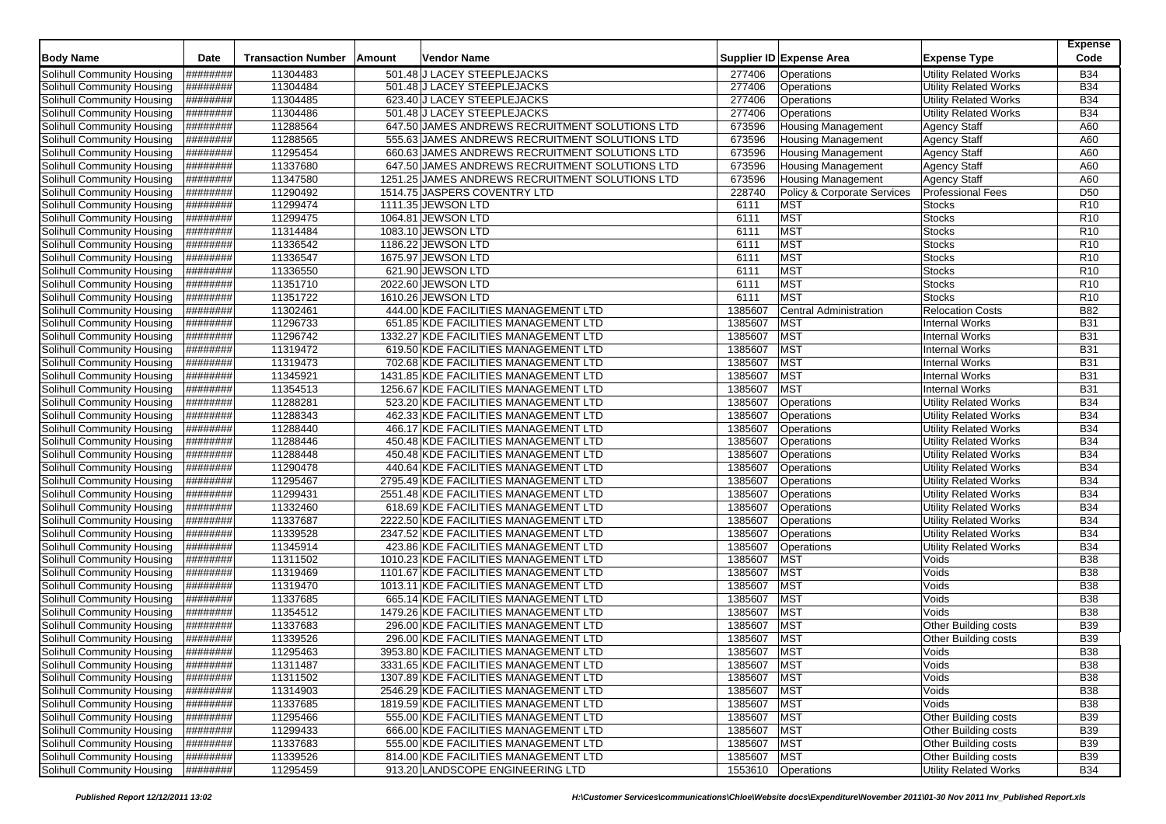| <b>Body Name</b>                                         | Date                 | <b>Transaction Number</b> | Amount | Vendor Name                                                |                  | Supplier ID Expense Area                               | <b>Expense Type</b>                                   | Expense<br>Code          |
|----------------------------------------------------------|----------------------|---------------------------|--------|------------------------------------------------------------|------------------|--------------------------------------------------------|-------------------------------------------------------|--------------------------|
|                                                          |                      |                           |        |                                                            |                  |                                                        |                                                       |                          |
| Solihull Community Housing                               | ########             | 11304483                  |        | 501.48 J LACEY STEEPLEJACKS                                | 277406           | Operations                                             | <b>Utility Related Works</b>                          | <b>B34</b><br><b>B34</b> |
| Solihull Community Housing<br>Solihull Community Housing | ########<br>######## | 11304484<br>11304485      |        | 501.48 J LACEY STEEPLEJACKS<br>623.40 J LACEY STEEPLEJACKS | 277406<br>277406 | Operations<br>Operations                               | <b>Utility Related Works</b><br>Utility Related Works | <b>B34</b>               |
|                                                          |                      |                           |        | 501.48 J LACEY STEEPLEJACKS                                |                  | Operations                                             |                                                       | <b>B34</b>               |
| Solihull Community Housing<br>Solihull Community Housing | ########<br>######## | 11304486<br>11288564      |        | 647.50 JAMES ANDREWS RECRUITMENT SOLUTIONS LTD             | 277406<br>673596 |                                                        | <b>Utility Related Works</b>                          | A60                      |
| Solihull Community Housing                               | ########             | 11288565                  |        | 555.63 JAMES ANDREWS RECRUITMENT SOLUTIONS LTD             | 673596           | <b>Housing Management</b><br><b>Housing Management</b> | <b>Agency Staff</b><br><b>Agency Staff</b>            | A60                      |
| Solihull Community Housing                               | ########             | 11295454                  |        | 660.63 JAMES ANDREWS RECRUITMENT SOLUTIONS LTD             | 673596           | Housing Management                                     |                                                       | A60                      |
| Solihull Community Housing                               | ########             | 11337680                  |        | 647.50 JAMES ANDREWS RECRUITMENT SOLUTIONS LTD             | 673596           | <b>Housing Management</b>                              | <b>Agency Staff</b><br><b>Agency Staff</b>            | A60                      |
| Solihull Community Housing                               | ########             | 11347580                  |        | 1251.25 JAMES ANDREWS RECRUITMENT SOLUTIONS LTD            | 673596           | <b>Housing Management</b>                              | <b>Agency Staff</b>                                   | A60                      |
| Solihull Community Housing                               | ########             | 11290492                  |        | 1514.75 JASPERS COVENTRY LTD                               | 228740           | Policy & Corporate Services                            | <b>Professional Fees</b>                              | D <sub>50</sub>          |
| Solihull Community Housing                               | ########             | 11299474                  |        | 1111.35 JEWSON LTD                                         | 6111             | <b>MST</b>                                             | <b>Stocks</b>                                         | R <sub>10</sub>          |
| Solihull Community Housing                               | ########             | 11299475                  |        | 1064.81 JEWSON LTD                                         | 6111             | <b>MST</b>                                             | <b>Stocks</b>                                         | R <sub>10</sub>          |
| Solihull Community Housing                               | ########             | 11314484                  |        | 1083.10 JEWSON LTD                                         | 6111             | <b>MST</b>                                             | <b>Stocks</b>                                         | R <sub>10</sub>          |
| Solihull Community Housing                               | ########             | 11336542                  |        | 1186.22 JEWSON LTD                                         | 6111             | <b>MST</b>                                             | <b>Stocks</b>                                         | R <sub>10</sub>          |
| Solihull Community Housing                               | ########             | 11336547                  |        | 1675.97 JEWSON LTD                                         | 6111             | <b>MST</b>                                             | <b>Stocks</b>                                         | R <sub>10</sub>          |
| Solihull Community Housing                               | ########             | 11336550                  |        | 621.90 JEWSON LTD                                          | 6111             | <b>MST</b>                                             | <b>Stocks</b>                                         | R <sub>10</sub>          |
| Solihull Community Housing                               | ########             | 11351710                  |        | 2022.60 JEWSON LTD                                         | 6111             | <b>MST</b>                                             | <b>Stocks</b>                                         | R <sub>10</sub>          |
| Solihull Community Housing                               | ########             | 11351722                  |        | 1610.26 JEWSON LTD                                         | 6111             | <b>MST</b>                                             | <b>Stocks</b>                                         | R <sub>10</sub>          |
| Solihull Community Housing                               | <b>########</b>      | 11302461                  |        | 444.00 KDE FACILITIES MANAGEMENT LTD                       | 1385607          | <b>Central Administration</b>                          | <b>Relocation Costs</b>                               | <b>B82</b>               |
| Solihull Community Housing                               | ########             | 11296733                  |        | 651.85 KDE FACILITIES MANAGEMENT LTD                       | 1385607          | <b>MST</b>                                             | <b>Internal Works</b>                                 | <b>B31</b>               |
| Solihull Community Housing                               | ########             | 11296742                  |        | 1332.27 KDE FACILITIES MANAGEMENT LTD                      | 1385607          | <b>MST</b>                                             | <b>Internal Works</b>                                 | <b>B31</b>               |
| Solihull Community Housing                               | ########             | 11319472                  |        | 619.50 KDE FACILITIES MANAGEMENT LTD                       | 1385607          | <b>MST</b>                                             | Internal Works                                        | <b>B31</b>               |
| Solihull Community Housing                               | ########             | 11319473                  |        | 702.68 KDE FACILITIES MANAGEMENT LTD                       | 1385607          | <b>MST</b>                                             | <b>Internal Works</b>                                 | <b>B31</b>               |
| Solihull Community Housing                               | ########             | 11345921                  |        | 1431.85 KDE FACILITIES MANAGEMENT LTD                      | 1385607          | <b>MST</b>                                             | <b>Internal Works</b>                                 | <b>B31</b>               |
| Solihull Community Housing                               | ########             | 11354513                  |        | 1256.67 KDE FACILITIES MANAGEMENT LTD                      | 1385607          | <b>MST</b>                                             | <b>Internal Works</b>                                 | <b>B31</b>               |
| Solihull Community Housing                               | ########             | 11288281                  |        | 523.20 KDE FACILITIES MANAGEMENT LTD                       | 1385607          | Operations                                             | <b>Utility Related Works</b>                          | <b>B34</b>               |
| Solihull Community Housing                               | ########             | 11288343                  |        | 462.33 KDE FACILITIES MANAGEMENT LTD                       | 1385607          | Operations                                             | <b>Utility Related Works</b>                          | <b>B34</b>               |
| Solihull Community Housing                               | ########             | 11288440                  |        | 466.17 KDE FACILITIES MANAGEMENT LTD                       | 1385607          | Operations                                             | Utility Related Works                                 | <b>B34</b>               |
| Solihull Community Housing                               | ########             | 11288446                  |        | 450.48 KDE FACILITIES MANAGEMENT LTD                       | 1385607          | Operations                                             | <b>Utility Related Works</b>                          | <b>B34</b>               |
| Solihull Community Housing                               | ########             | 11288448                  |        | 450.48 KDE FACILITIES MANAGEMENT LTD                       | 1385607          | Operations                                             | <b>Utility Related Works</b>                          | <b>B34</b>               |
| Solihull Community Housing                               | ########             | 11290478                  |        | 440.64 KDE FACILITIES MANAGEMENT LTD                       | 1385607          | Operations                                             | <b>Utility Related Works</b>                          | <b>B34</b>               |
| Solihull Community Housing                               | ########             | 11295467                  |        | 2795.49 KDE FACILITIES MANAGEMENT LTD                      | 1385607          | Operations                                             | <b>Utility Related Works</b>                          | <b>B34</b>               |
| Solihull Community Housing                               | ########             | 11299431                  |        | 2551.48 KDE FACILITIES MANAGEMENT LTD                      | 1385607          | Operations                                             | <b>Utility Related Works</b>                          | <b>B34</b>               |
| Solihull Community Housing                               | ########             | 11332460                  |        | 618.69 KDE FACILITIES MANAGEMENT LTD                       | 1385607          | Operations                                             | Utility Related Works                                 | <b>B34</b>               |
| Solihull Community Housing                               | ########             | 11337687                  |        | 2222.50 KDE FACILITIES MANAGEMENT LTD                      | 1385607          | Operations                                             | <b>Utility Related Works</b>                          | <b>B34</b>               |
| Solihull Community Housing                               | ########             | 11339528                  |        | 2347.52 KDE FACILITIES MANAGEMENT LTD                      | 1385607          | Operations                                             | <b>Utility Related Works</b>                          | <b>B34</b>               |
| Solihull Community Housing                               | ########             | 11345914                  |        | 423.86 KDE FACILITIES MANAGEMENT LTD                       | 1385607          | Operations                                             | <b>Utility Related Works</b>                          | <b>B34</b>               |
| Solihull Community Housing                               | ########             | 11311502                  |        | 1010.23 KDE FACILITIES MANAGEMENT LTD                      | 1385607          | <b>MST</b>                                             | Voids                                                 | <b>B38</b>               |
| Solihull Community Housing                               | ########             | 11319469                  |        | 1101.67 KDE FACILITIES MANAGEMENT LTD                      | 1385607          | <b>MST</b>                                             | Voids                                                 | <b>B38</b>               |
| Solihull Community Housing                               | ########             | 11319470                  |        | 1013.11 KDE FACILITIES MANAGEMENT LTD                      | 1385607          | <b>MST</b>                                             | Voids                                                 | <b>B38</b>               |
| Solihull Community Housing                               | ########             | 11337685                  |        | 665.14 KDE FACILITIES MANAGEMENT LTD                       | 1385607          | <b>MST</b>                                             | Voids                                                 | <b>B38</b>               |
| Solihull Community Housing                               | ########             | 11354512                  |        | 1479.26 KDE FACILITIES MANAGEMENT LTD                      | 1385607          | <b>MST</b>                                             | Voids                                                 | <b>B38</b>               |
| Solihull Community Housing                               | ########             | 11337683                  |        | 296.00 KDE FACILITIES MANAGEMENT LTD                       | 1385607          | <b>MST</b>                                             | Other Building costs                                  | <b>B39</b>               |
| Solihull Community Housing                               | ########             | 11339526                  |        | 296.00 KDE FACILITIES MANAGEMENT LTD                       | 1385607          | <b>MST</b>                                             | Other Building costs                                  | <b>B39</b>               |
| Solihull Community Housing                               | ########             | 11295463                  |        | 3953.80 KDE FACILITIES MANAGEMENT LTD                      | 1385607          | <b>MST</b>                                             | Voids                                                 | <b>B38</b>               |
| Solihull Community Housing                               | ########             | 11311487                  |        | 3331.65 KDE FACILITIES MANAGEMENT LTD                      | 1385607 MST      |                                                        | Voids                                                 | <b>B38</b>               |
| Solihull Community Housing                               | ########             | 11311502                  |        | 1307.89 KDE FACILITIES MANAGEMENT LTD                      | 1385607          | <b>MST</b>                                             | Voids                                                 | <b>B38</b>               |
| Solihull Community Housing                               | ########             | 11314903                  |        | 2546.29 KDE FACILITIES MANAGEMENT LTD                      | 1385607          | <b>MST</b>                                             | Voids                                                 | <b>B38</b>               |
| Solihull Community Housing                               | ########             | 11337685                  |        | 1819.59 KDE FACILITIES MANAGEMENT LTD                      | 1385607          | <b>MST</b>                                             | Voids                                                 | <b>B38</b>               |
| Solihull Community Housing                               | ########             | 11295466                  |        | 555.00 KDE FACILITIES MANAGEMENT LTD                       | 1385607          | <b>MST</b>                                             | Other Building costs                                  | <b>B39</b>               |
| Solihull Community Housing                               | ########             | 11299433                  |        | 666.00 KDE FACILITIES MANAGEMENT LTD                       | 1385607          | <b>MST</b>                                             | Other Building costs                                  | <b>B39</b>               |
| Solihull Community Housing                               | ########             | 11337683                  |        | 555.00 KDE FACILITIES MANAGEMENT LTD                       | 1385607          | <b>MST</b>                                             | Other Building costs                                  | <b>B39</b>               |
| Solihull Community Housing                               | #########            | 11339526                  |        | 814.00 KDE FACILITIES MANAGEMENT LTD                       | 1385607          | <b>MST</b>                                             | Other Building costs                                  | <b>B39</b>               |
| Solihull Community Housing                               | #########            | 11295459                  |        | 913.20 LANDSCOPE ENGINEERING LTD                           |                  | 1553610 Operations                                     | <b>Utility Related Works</b>                          | <b>B34</b>               |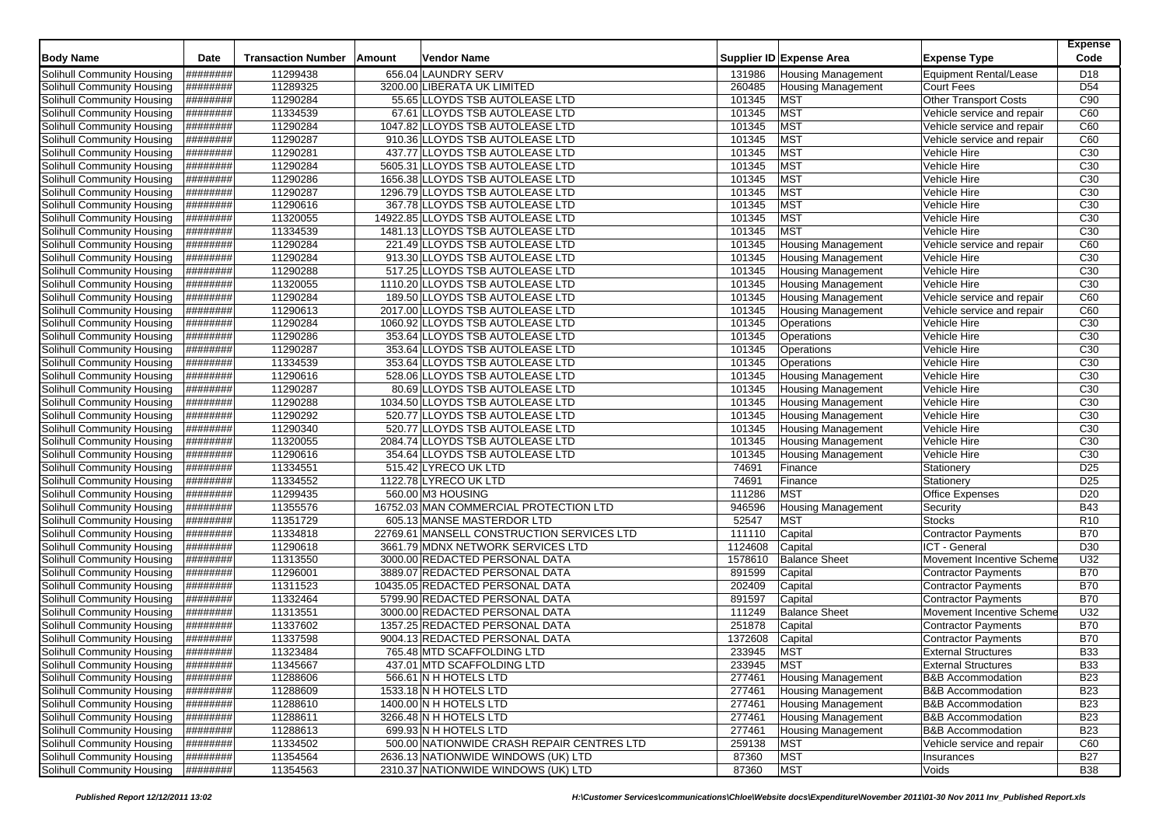| <b>Body Name</b>                  | Date            | <b>Transaction Number</b> | Amount | Vendor Name                                |         | Supplier ID Expense Area  | <b>Expense Type</b>           | <b>Expense</b><br>Code |
|-----------------------------------|-----------------|---------------------------|--------|--------------------------------------------|---------|---------------------------|-------------------------------|------------------------|
| <b>Solihull Community Housing</b> | ########        | 11299438                  |        | 656.04 LAUNDRY SERV                        | 131986  | Housing Management        | <b>Equipment Rental/Lease</b> | D18                    |
| Solihull Community Housing        | ########        | 11289325                  |        | 3200.00 LIBERATA UK LIMITED                | 260485  | <b>Housing Management</b> | Court Fees                    | D <sub>54</sub>        |
| Solihull Community Housing        | ########        | 11290284                  |        | 55.65 LLOYDS TSB AUTOLEASE LTD             | 101345  | <b>MST</b>                | <b>Other Transport Costs</b>  | C90                    |
| Solihull Community Housing        | ########        | 11334539                  |        | 67.61 LLOYDS TSB AUTOLEASE LTD             | 101345  | <b>MST</b>                | Vehicle service and repair    | C60                    |
| Solihull Community Housing        | ########        | 11290284                  |        | 1047.82 LLOYDS TSB AUTOLEASE LTD           | 101345  | <b>MST</b>                | Vehicle service and repair    | C60                    |
| Solihull Community Housing        | ########        | 11290287                  |        | 910.36 LLOYDS TSB AUTOLEASE LTD            | 101345  | <b>MST</b>                | Vehicle service and repair    | C60                    |
| Solihull Community Housing        | ########        | 11290281                  |        | 437.77 LLOYDS TSB AUTOLEASE LTD            | 101345  | <b>MST</b>                | Vehicle Hire                  | C <sub>30</sub>        |
| Solihull Community Housing        | ########        | 11290284                  |        | 5605.31 LLOYDS TSB AUTOLEASE LTD           | 101345  | <b>MST</b>                | Vehicle Hire                  | C <sub>30</sub>        |
| Solihull Community Housing        | ########        | 11290286                  |        | 1656.38 LLOYDS TSB AUTOLEASE LTD           | 101345  | <b>MST</b>                | Vehicle Hire                  | C <sub>30</sub>        |
| Solihull Community Housing        | ########        | 11290287                  |        | 1296.79 LLOYDS TSB AUTOLEASE LTD           | 101345  | <b>MST</b>                | Vehicle Hire                  | C <sub>30</sub>        |
| Solihull Community Housing        | ########        | 11290616                  |        | 367.78 LLOYDS TSB AUTOLEASE LTD            | 101345  | <b>MST</b>                | Vehicle Hire                  | C30                    |
| Solihull Community Housing        | <b>H#######</b> | 11320055                  |        | 14922.85 LLOYDS TSB AUTOLEASE LTD          | 101345  | <b>MST</b>                | Vehicle Hire                  | C <sub>30</sub>        |
| Solihull Community Housing        | ########        | 11334539                  |        | 1481.13 LLOYDS TSB AUTOLEASE LTD           | 101345  | <b>MST</b>                | Vehicle Hire                  | C <sub>30</sub>        |
| Solihull Community Housing        | ########        | 11290284                  |        | 221.49 LLOYDS TSB AUTOLEASE LTD            | 101345  | Housing Management        | Vehicle service and repair    | C60                    |
| Solihull Community Housing        | ########        | 11290284                  |        | 913.30 LLOYDS TSB AUTOLEASE LTD            | 101345  | <b>Housing Management</b> | Vehicle Hire                  | C <sub>30</sub>        |
| Solihull Community Housing        | ########        | 11290288                  |        | 517.25 LLOYDS TSB AUTOLEASE LTD            | 101345  | Housing Management        | Vehicle Hire                  | C30                    |
| Solihull Community Housing        | ########        | 11320055                  |        | 1110.20 LLOYDS TSB AUTOLEASE LTD           | 101345  | <b>Housing Management</b> | Vehicle Hire                  | C30                    |
| Solihull Community Housing        | ########        | 11290284                  |        | 189.50 LLOYDS TSB AUTOLEASE LTD            | 101345  | <b>Housing Management</b> | Vehicle service and repair    | C60                    |
| Solihull Community Housing        | ########        | 11290613                  |        | 2017.00 LLOYDS TSB AUTOLEASE LTD           | 101345  | <b>Housing Management</b> | Vehicle service and repair    | C60                    |
| Solihull Community Housing        | ########        | 11290284                  |        | 1060.92 LLOYDS TSB AUTOLEASE LTD           | 101345  | Operations                | Vehicle Hire                  | C <sub>30</sub>        |
| Solihull Community Housing        | ########        | 11290286                  |        | 353.64 LLOYDS TSB AUTOLEASE LTD            | 101345  | Operations                | Vehicle Hire                  | C30                    |
| <b>Solihull Community Housing</b> | ########        | 11290287                  |        | 353.64 LLOYDS TSB AUTOLEASE LTD            | 101345  | Operations                | Vehicle Hire                  | C <sub>30</sub>        |
| Solihull Community Housing        | ########        | 11334539                  |        | 353.64 LLOYDS TSB AUTOLEASE LTD            | 101345  | Operations                | Vehicle Hire                  | C30                    |
| Solihull Community Housing        | ########        | 11290616                  |        | 528.06 LLOYDS TSB AUTOLEASE LTD            | 101345  | <b>Housing Management</b> | Vehicle Hire                  | C30                    |
| Solihull Community Housing        | ########        | 11290287                  |        | 80.69 LLOYDS TSB AUTOLEASE LTD             | 101345  | Housing Management        | Vehicle Hire                  | C <sub>30</sub>        |
| Solihull Community Housing        | ########        | 11290288                  |        | 1034.50 LLOYDS TSB AUTOLEASE LTD           | 101345  | <b>Housing Management</b> | Vehicle Hire                  | C <sub>30</sub>        |
| Solihull Community Housing        | ########        | 11290292                  |        | 520.77 LLOYDS TSB AUTOLEASE LTD            | 101345  | <b>Housing Management</b> | Vehicle Hire                  | C <sub>30</sub>        |
| Solihull Community Housing        | ########        | 11290340                  |        | 520.77 LLOYDS TSB AUTOLEASE LTD            | 101345  | <b>Housing Management</b> | Vehicle Hire                  | C30                    |
| Solihull Community Housing        | ########        | 11320055                  |        | 2084.74 LLOYDS TSB AUTOLEASE LTD           | 101345  | <b>Housing Management</b> | Vehicle Hire                  | C <sub>30</sub>        |
| Solihull Community Housing        | ########        | 11290616                  |        | 354.64 LLOYDS TSB AUTOLEASE LTD            | 101345  | <b>Housing Management</b> | Vehicle Hire                  | C <sub>30</sub>        |
| Solihull Community Housing        | ########        | 11334551                  |        | 515.42 LYRECO UK LTD                       | 74691   | Finance                   | Stationery                    | D <sub>25</sub>        |
| Solihull Community Housing        | ########        | 11334552                  |        | 1122.78 LYRECO UK LTD                      | 74691   | Finance                   | Stationery                    | D <sub>25</sub>        |
| Solihull Community Housing        | ########        | 11299435                  |        | 560.00 M3 HOUSING                          | 111286  | <b>MST</b>                | Office Expenses               | D <sub>20</sub>        |
| Solihull Community Housing        | ########        | 11355576                  |        | 16752.03 MAN COMMERCIAL PROTECTION LTD     | 946596  | <b>Housing Management</b> | Security                      | <b>B43</b>             |
| Solihull Community Housing        | ########        | 11351729                  |        | 605.13 MANSE MASTERDOR LTD                 | 52547   | <b>MST</b>                | <b>Stocks</b>                 | R <sub>10</sub>        |
| Solihull Community Housing        | ########        | 11334818                  |        | 22769.61 MANSELL CONSTRUCTION SERVICES LTD | 111110  | Capital                   | <b>Contractor Payments</b>    | <b>B70</b>             |
| Solihull Community Housing        | ########        | 11290618                  |        | 3661.79 MDNX NETWORK SERVICES LTD          | 1124608 | Capital                   | ICT - General                 | D <sub>30</sub>        |
| Solihull Community Housing        | ########        | 11313550                  |        | 3000.00 REDACTED PERSONAL DATA             | 1578610 | <b>Balance Sheet</b>      | Movement Incentive Scheme     | U32                    |
| Solihull Community Housing        | ########        | 11296001                  |        | 3889.07 REDACTED PERSONAL DATA             | 891599  | Capital                   | <b>Contractor Payments</b>    | <b>B70</b>             |
| Solihull Community Housing        | ########        | 11311523                  |        | 10435.05 REDACTED PERSONAL DATA            | 202409  | Capital                   | Contractor Payments           | <b>B70</b>             |
| Solihull Community Housing        | ########        | 11332464                  |        | 5799.90 REDACTED PERSONAL DATA             | 891597  | Capital                   | <b>Contractor Payments</b>    | <b>B70</b>             |
| Solihull Community Housing        | ########        | 11313551                  |        | 3000.00 REDACTED PERSONAL DATA             | 111249  | <b>Balance Sheet</b>      | Movement Incentive Scheme     | U32                    |
| Solihull Community Housing        | <b>H#######</b> | 11337602                  |        | 1357.25 REDACTED PERSONAL DATA             | 251878  | Capital                   | <b>Contractor Payments</b>    | <b>B70</b>             |
| Solihull Community Housing        | ########        | 11337598                  |        | 9004.13 REDACTED PERSONAL DATA             | 1372608 | Capital                   | <b>Contractor Payments</b>    | <b>B70</b>             |
| Solihull Community Housing        | ########        | 11323484                  |        | 765.48 MTD SCAFFOLDING LTD                 | 233945  | <b>MST</b>                | <b>External Structures</b>    | <b>B33</b>             |
| Solihull Community Housing        | ########        | 11345667                  |        | 437.01 MTD SCAFFOLDING LTD                 | 233945  | MST                       | <b>External Structures</b>    | <b>B33</b>             |
| Solihull Community Housing        | #########       | 11288606                  |        | 566.61 N H HOTELS LTD                      | 277461  | <b>Housing Management</b> | <b>B&amp;B Accommodation</b>  | <b>B23</b>             |
| Solihull Community Housing        | ########        | 11288609                  |        | 1533.18 N H HOTELS LTD                     | 277461  | <b>Housing Management</b> | <b>B&amp;B Accommodation</b>  | <b>B23</b>             |
| Solihull Community Housing        | ########        | 11288610                  |        | 1400.00 N H HOTELS LTD                     | 277461  | <b>Housing Management</b> | <b>B&amp;B Accommodation</b>  | <b>B23</b>             |
| Solihull Community Housing        | ########        | 11288611                  |        | 3266.48 N H HOTELS LTD                     | 277461  | <b>Housing Management</b> | <b>B&amp;B Accommodation</b>  | <b>B23</b>             |
| Solihull Community Housing        | #########       | 11288613                  |        | 699.93 N H HOTELS LTD                      | 277461  | <b>Housing Management</b> | <b>B&amp;B Accommodation</b>  | <b>B23</b>             |
| Solihull Community Housing        | ########        | 11334502                  |        | 500.00 NATIONWIDE CRASH REPAIR CENTRES LTD | 259138  | <b>MST</b>                | Vehicle service and repair    | C60                    |
| Solihull Community Housing        | ########        | 11354564                  |        | 2636.13 NATIONWIDE WINDOWS (UK) LTD        | 87360   | <b>MST</b>                | Insurances                    | <b>B27</b>             |
| Solihull Community Housing        | #########       | 11354563                  |        | 2310.37 NATIONWIDE WINDOWS (UK) LTD        | 87360   | <b>MST</b>                | Voids                         | <b>B38</b>             |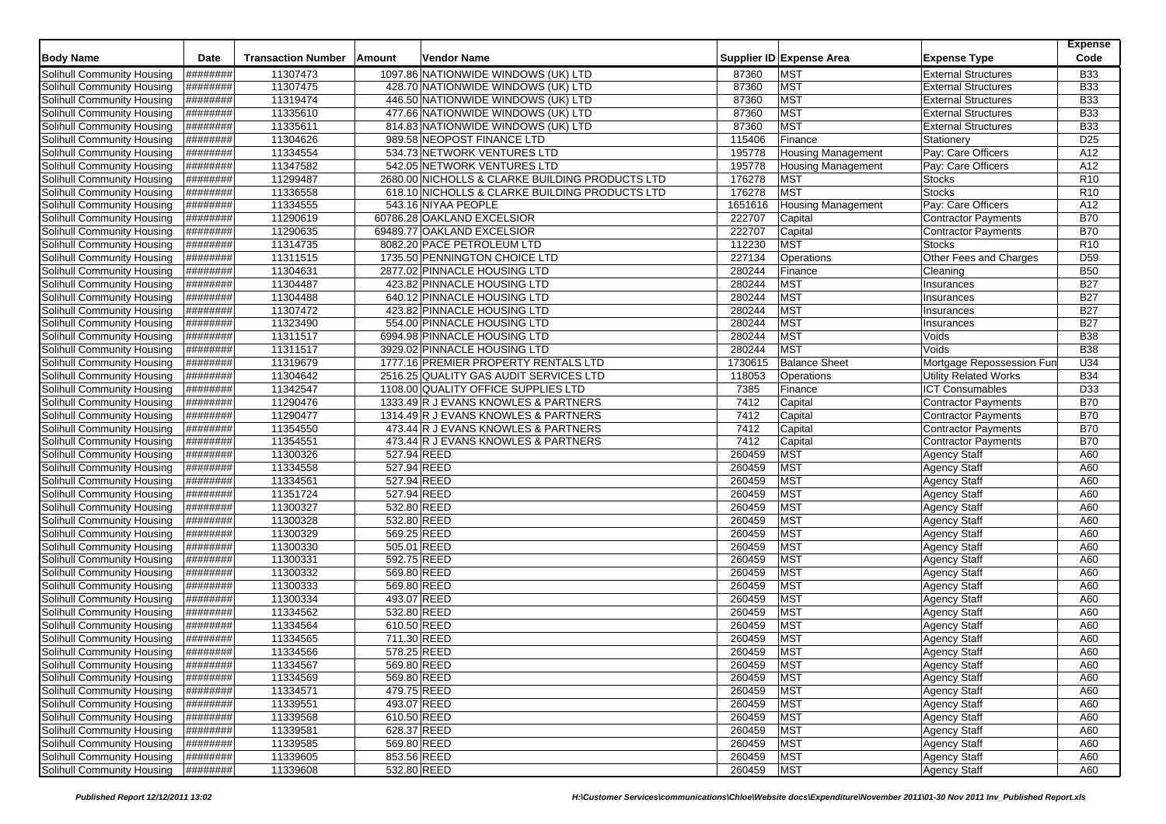| <b>Body Name</b>                  | <b>Date</b>      | <b>Transaction Number</b> | <b>Amount</b> | Vendor Name                                     |         | Supplier ID Expense Area  | <b>Expense Type</b>          | <b>Expense</b><br>Code |
|-----------------------------------|------------------|---------------------------|---------------|-------------------------------------------------|---------|---------------------------|------------------------------|------------------------|
| Solihull Community Housing        | ########         | 11307473                  |               | 1097.86 NATIONWIDE WINDOWS (UK) LTD             | 87360   | <b>MST</b>                | <b>External Structures</b>   | <b>B33</b>             |
| Solihull Community Housing        | ########         | 11307475                  |               | 428.70 NATIONWIDE WINDOWS (UK) LTD              | 87360   | <b>MST</b>                | <b>External Structures</b>   | <b>B33</b>             |
| Solihull Community Housing        | ########         | 11319474                  |               | 446.50 NATIONWIDE WINDOWS (UK) LTD              | 87360   | <b>MST</b>                | <b>External Structures</b>   | <b>B33</b>             |
| Solihull Community Housing        | ########         | 11335610                  |               | 477.66 NATIONWIDE WINDOWS (UK) LTD              | 87360   | <b>MST</b>                | <b>External Structures</b>   | <b>B33</b>             |
| Solihull Community Housing        | ########         | 11335611                  |               | 814.83 NATIONWIDE WINDOWS (UK) LTD              | 87360   | <b>MST</b>                | <b>External Structures</b>   | <b>B33</b>             |
| Solihull Community Housing        | ########         | 11304626                  |               | 989.58 NEOPOST FINANCE LTD                      | 115406  | Finance                   | Stationery                   | D <sub>25</sub>        |
| Solihull Community Housing        | ########         | 11334554                  |               | 534.73 NETWORK VENTURES LTD                     | 195778  | <b>Housing Management</b> | Pay: Care Officers           | A12                    |
| Solihull Community Housing        | ########         | 11347582                  |               | 542.05 NETWORK VENTURES LTD                     | 195778  | <b>Housing Management</b> | Pay: Care Officers           | A12                    |
| Solihull Community Housing        | <b>#########</b> | 11299487                  |               | 2680.00 NICHOLLS & CLARKE BUILDING PRODUCTS LTD | 176278  | <b>MST</b>                | <b>Stocks</b>                | R <sub>10</sub>        |
| Solihull Community Housing        | ########         | 11336558                  |               | 618.10 NICHOLLS & CLARKE BUILDING PRODUCTS LTD  | 176278  | <b>MST</b>                | <b>Stocks</b>                | R <sub>10</sub>        |
| Solihull Community Housing        | ########         | 11334555                  |               | 543.16 NIYAA PEOPLE                             | 1651616 | <b>Housing Management</b> | Pay: Care Officers           | A12                    |
| Solihull Community Housing        | <b>H#######</b>  | 11290619                  |               | 60786.28 OAKLAND EXCELSIOR                      | 222707  | Capital                   | <b>Contractor Payments</b>   | <b>B70</b>             |
| Solihull Community Housing        | ########         | 11290635                  |               | 69489.77 OAKLAND EXCELSIOR                      | 222707  | Capital                   | <b>Contractor Payments</b>   | <b>B70</b>             |
| Solihull Community Housing        | ########         | 11314735                  |               | 8082.20 PACE PETROLEUM LTD                      | 112230  | <b>MST</b>                | Stocks                       | R <sub>10</sub>        |
| Solihull Community Housing        | ########         | 11311515                  |               | 1735.50 PENNINGTON CHOICE LTD                   | 227134  | Operations                | Other Fees and Charges       | D <sub>59</sub>        |
| Solihull Community Housing        | ########         | 11304631                  |               | 2877.02 PINNACLE HOUSING LTD                    | 280244  | Finance                   | Cleaning                     | <b>B50</b>             |
| Solihull Community Housing        | ########         | 11304487                  |               | 423.82 PINNACLE HOUSING LTD                     | 280244  | <b>MST</b>                | Insurances                   | <b>B27</b>             |
| Solihull Community Housing        | ########         | 11304488                  |               | 640.12 PINNACLE HOUSING LTD                     | 280244  | <b>MST</b>                | Insurances                   | <b>B27</b>             |
| Solihull Community Housing        | ########         | 11307472                  |               | 423.82 PINNACLE HOUSING LTD                     | 280244  | <b>MST</b>                | Insurances                   | <b>B27</b>             |
| Solihull Community Housing        | ########         | 11323490                  |               | 554.00 PINNACLE HOUSING LTD                     | 280244  | <b>MST</b>                | Insurances                   | <b>B27</b>             |
| Solihull Community Housing        | ########         | 11311517                  |               | 6994.98 PINNACLE HOUSING LTD                    | 280244  | <b>MST</b>                | Voids                        | <b>B38</b>             |
| Solihull Community Housing        | ########         | 11311517                  |               | 3929.02 PINNACLE HOUSING LTD                    | 280244  | <b>MST</b>                | Voids                        | <b>B38</b>             |
| Solihull Community Housing        | ########         | 11319679                  |               | 1777.16 PREMIER PROPERTY RENTALS LTD            | 1730615 | <b>Balance Sheet</b>      | Mortgage Repossession Fun    | U34                    |
| Solihull Community Housing        | ########         | 11304642                  |               | 2516.25 QUALITY GAS AUDIT SERVICES LTD          | 118053  | Operations                | <b>Utility Related Works</b> | <b>B34</b>             |
| Solihull Community Housing        | ########         | 11342547                  |               | 1108.00 QUALITY OFFICE SUPPLIES LTD             | 7385    | Finance                   | <b>ICT Consumables</b>       | D33                    |
| Solihull Community Housing        | ########         | 11290476                  |               | 1333.49 R J EVANS KNOWLES & PARTNERS            | 7412    | Capital                   | <b>Contractor Payments</b>   | <b>B70</b>             |
| Solihull Community Housing        | ########         | 11290477                  |               | 1314.49 R J EVANS KNOWLES & PARTNERS            | 7412    | Capital                   | <b>Contractor Payments</b>   | <b>B70</b>             |
| <b>Solihull Community Housing</b> | ########         | 11354550                  |               | 473.44 R J EVANS KNOWLES & PARTNERS             | 7412    | Capital                   | <b>Contractor Payments</b>   | <b>B70</b>             |
| Solihull Community Housing        | ########         | 11354551                  |               | 473.44 R J EVANS KNOWLES & PARTNERS             | 7412    | Capital                   | <b>Contractor Payments</b>   | <b>B70</b>             |
| Solihull Community Housing        | ########         | 11300326                  |               | 527.94 REED                                     | 260459  | <b>MST</b>                | <b>Agency Staff</b>          | A60                    |
| Solihull Community Housing        | <b>H#######</b>  | 11334558                  | 527.94 REED   |                                                 | 260459  | <b>MST</b>                | <b>Agency Staff</b>          | A60                    |
| Solihull Community Housing        | ########         | 11334561                  |               | 527.94 REED                                     | 260459  | <b>MST</b>                | <b>Agency Staff</b>          | A60                    |
| Solihull Community Housing        | ########         | 11351724                  | 527.94 REED   |                                                 | 260459  | <b>MST</b>                | <b>Agency Staff</b>          | A60                    |
| Solihull Community Housing        | ########         | 11300327                  |               | 532.80 REED                                     | 260459  | <b>MST</b>                | <b>Agency Staff</b>          | A60                    |
| Solihull Community Housing        | ########         | 11300328                  |               | 532.80 REED                                     | 260459  | <b>MST</b>                | <b>Agency Staff</b>          | A60                    |
| Solihull Community Housing        | ########         | 11300329                  |               | 569.25 REED                                     | 260459  | <b>MST</b>                | <b>Agency Staff</b>          | A60                    |
| Solihull Community Housing        | ########         | 11300330                  | 505.01 REED   |                                                 | 260459  | <b>MST</b>                | <b>Agency Staff</b>          | A60                    |
| Solihull Community Housing        | <b>H#######</b>  | 11300331                  |               | 592.75 REED                                     | 260459  | <b>MST</b>                | <b>Agency Staff</b>          | A60                    |
| Solihull Community Housing        | ########         | 11300332                  |               | 569.80 REED                                     | 260459  | <b>MST</b>                | <b>Agency Staff</b>          | A60                    |
| Solihull Community Housing        | <b>H#######</b>  | 11300333                  |               | 569.80 REED                                     | 260459  | <b>MST</b>                | Agency Staff                 | A60                    |
| Solihull Community Housing        | ########         | 11300334                  |               | 493.07 REED                                     | 260459  | <b>MST</b>                | <b>Agency Staff</b>          | A60                    |
| Solihull Community Housing        | ########         | 11334562                  | 532.80 REED   |                                                 | 260459  | <b>MST</b>                | <b>Agency Staff</b>          | A60                    |
| Solihull Community Housing        | <b>H#######</b>  | 11334564                  | 610.50 REED   |                                                 | 260459  | <b>MST</b>                | <b>Agency Staff</b>          | A60                    |
| Solihull Community Housing        | ########         | 11334565                  | 711.30 REED   |                                                 | 260459  | <b>MST</b>                | <b>Agency Staff</b>          | A60                    |
| Solihull Community Housing        | ########         | 11334566                  |               | 578.25 REED                                     | 260459  | <b>MST</b>                | <b>Agency Staff</b>          | A60                    |
| Solihull Community Housing        | ########         | 11334567                  |               | 569.80 REED                                     | 260459  | <b>MST</b>                | <b>Agency Staff</b>          | A60                    |
| Solihull Community Housing        | ########         | 11334569                  |               | 569.80 REED                                     | 260459  | <b>MST</b>                | <b>Agency Staff</b>          | A60                    |
| Solihull Community Housing        | ########         | 11334571                  |               | 479.75 REED                                     | 260459  | <b>MST</b>                | <b>Agency Staff</b>          | A60                    |
| Solihull Community Housing        | ########         | 11339551                  |               | 493.07 REED                                     | 260459  | <b>MST</b>                | <b>Agency Staff</b>          | A60                    |
| Solihull Community Housing        | ########         | 11339568                  |               | 610.50 REED                                     | 260459  | <b>MST</b>                | Agency Staff                 | A60                    |
| Solihull Community Housing        | ########         | 11339581                  |               | 628.37 REED                                     | 260459  | <b>MST</b>                | <b>Agency Staff</b>          | A60                    |
| Solihull Community Housing        | ########         | 11339585                  |               | 569.80 REED                                     | 260459  | <b>MST</b>                | <b>Agency Staff</b>          | A60                    |
| Solihull Community Housing        | ########         | 11339605                  |               | 853.56 REED                                     | 260459  | <b>MST</b>                | <b>Agency Staff</b>          | A60                    |
| Solihull Community Housing        | #########        | 11339608                  |               | 532.80 REED                                     | 260459  | <b>MST</b>                | <b>Agency Staff</b>          | A60                    |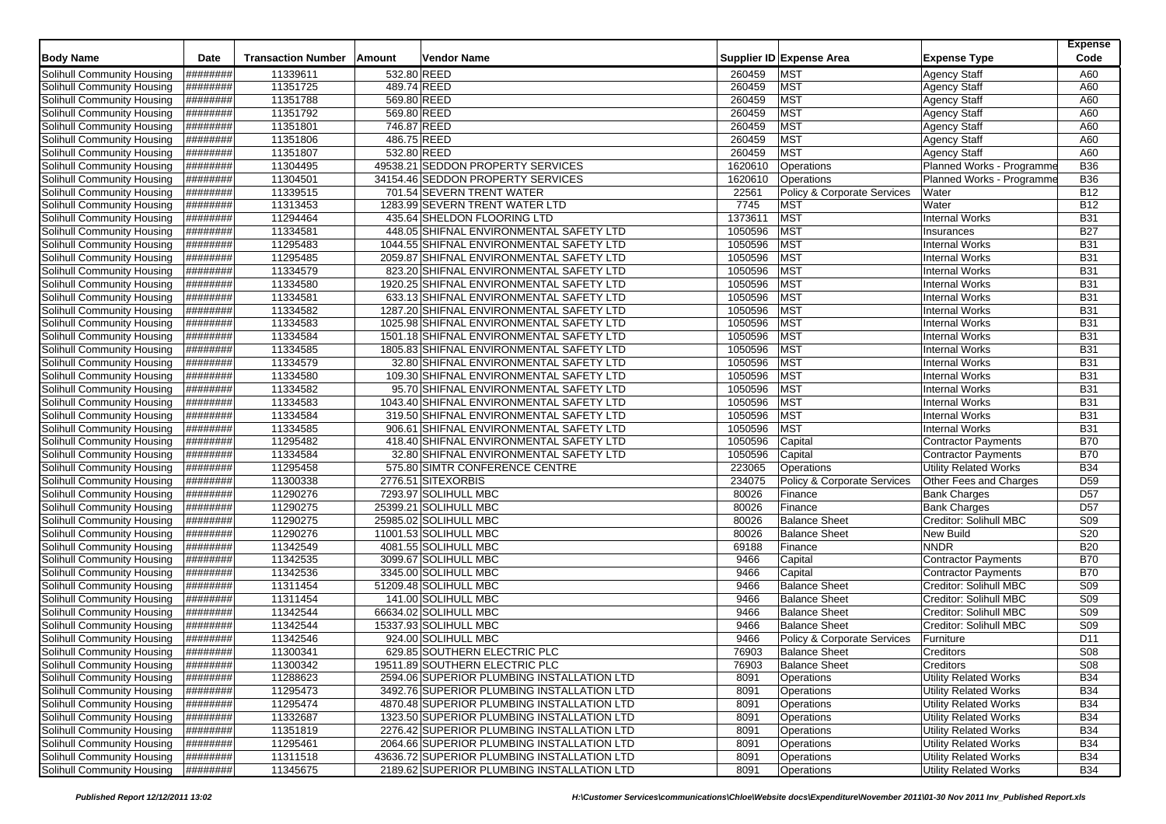| Supplier ID Expense Area<br>Solihull Community Housing<br>########<br>11339611<br>532.80 REED<br>260459<br><b>MST</b><br><b>Agency Staff</b><br>A60<br>489.74 REED<br>11351725<br><b>MST</b><br>Solihull Community Housing<br>########<br>260459<br><b>Agency Staff</b><br>A60<br>11351788<br>569.80 REED<br><b>MST</b><br>Solihull Community Housing<br>########<br>260459<br><b>Agency Staff</b><br>A60<br>569.80 REED<br><b>MST</b><br>########<br>11351792<br>260459<br><b>Agency Staff</b><br>A60<br>Solihull Community Housing<br>746.87 REED<br>11351801<br>260459<br><b>MST</b><br>A60<br>Solihull Community Housing<br>########<br><b>Agency Staff</b><br>486.75 REED<br>260459<br><b>MST</b><br>A60<br>Solihull Community Housing<br>########<br>11351806<br>Agency Staff<br><b>MST</b><br>########<br>11351807<br>532.80 REED<br>260459<br>A60<br>Solihull Community Housing<br><b>Agency Staff</b><br>49538.21 SEDDON PROPERTY SERVICES<br>Planned Works - Programme<br><b>B36</b><br>Solihull Community Housing<br>########<br>11304495<br>1620610<br>Operations<br>11304501<br>34154.46 SEDDON PROPERTY SERVICES<br><b>B36</b><br>Solihull Community Housing<br>########<br>1620610<br>Operations<br>Planned Works - Programme<br>11339515<br>701.54 SEVERN TRENT WATER<br><b>B12</b><br>Solihull Community Housing<br>########<br>22561<br><b>Policy &amp; Corporate Services</b><br>Water<br>########<br>11313453<br>1283.99 SEVERN TRENT WATER LTD<br>7745<br><b>MST</b><br>Water<br><b>B12</b><br>Solihull Community Housing<br>11294464<br>1373611<br><b>MST</b><br><b>Internal Works</b><br><b>B31</b><br>Solihull Community Housing<br>########<br>435.64 SHELDON FLOORING LTD<br><b>MST</b><br><b>B27</b><br>########<br>11334581<br>448.05 SHIFNAL ENVIRONMENTAL SAFETY LTD<br>1050596<br>Solihull Community Housing<br>Insurances<br>11295483<br><b>MST</b><br>########<br>1050596<br><b>B31</b><br>Solihull Community Housing<br>1044.55 SHIFNAL ENVIRONMENTAL SAFETY LTD<br><b>Internal Works</b><br>11295485<br>1050596<br><b>MST</b><br><b>B31</b><br>Solihull Community Housing<br>########<br>2059.87 SHIFNAL ENVIRONMENTAL SAFETY LTD<br><b>Internal Works</b><br>########<br>11334579<br><b>MST</b><br>Solihull Community Housing<br>823.20 SHIFNAL ENVIRONMENTAL SAFETY LTD<br>1050596<br><b>Internal Works</b><br><b>B31</b><br><b>MST</b><br>########<br>11334580<br>1050596<br><b>B31</b><br>Solihull Community Housing<br>1920.25 SHIFNAL ENVIRONMENTAL SAFETY LTD<br><b>Internal Works</b><br>11334581<br>1050596<br><b>MST</b><br><b>B31</b><br>Solihull Community Housing<br>########<br>633.13 SHIFNAL ENVIRONMENTAL SAFETY LTD<br><b>Internal Works</b><br>11334582<br>1050596<br><b>MST</b><br><b>B31</b><br>Solihull Community Housing<br>########<br>1287.20 SHIFNAL ENVIRONMENTAL SAFETY LTD<br><b>Internal Works</b><br>1050596<br><b>MST</b><br><b>B31</b><br>Solihull Community Housing<br>########<br>11334583<br>1025.98 SHIFNAL ENVIRONMENTAL SAFETY LTD<br><b>Internal Works</b><br>########<br>11334584<br>1050596<br><b>MST</b><br><b>B31</b><br>Solihull Community Housing<br>1501.18 SHIFNAL ENVIRONMENTAL SAFETY LTD<br><b>Internal Works</b><br>11334585<br>1050596<br><b>MST</b><br><b>B31</b><br>Solihull Community Housing<br>########<br>1805.83 SHIFNAL ENVIRONMENTAL SAFETY LTD<br><b>Internal Works</b><br><b>MST</b><br>########<br>11334579<br>1050596<br><b>B31</b><br>Solihull Community Housing<br>32.80 SHIFNAL ENVIRONMENTAL SAFETY LTD<br><b>Internal Works</b><br>11334580<br>1050596<br><b>MST</b><br><b>B31</b><br>Solihull Community Housing<br>########<br>109.30 SHIFNAL ENVIRONMENTAL SAFETY LTD<br><b>Internal Works</b><br>########<br><b>MST</b><br>Solihull Community Housing<br>11334582<br>95.70 SHIFNAL ENVIRONMENTAL SAFETY LTD<br>1050596<br><b>Internal Works</b><br><b>B31</b><br>########<br>11334583<br>1050596<br><b>MST</b><br>Internal Works<br><b>B31</b><br>Solihull Community Housing<br>1043.40 SHIFNAL ENVIRONMENTAL SAFETY LTD<br>11334584<br><b>MST</b><br><b>B31</b><br>Solihull Community Housing<br>########<br>319.50 SHIFNAL ENVIRONMENTAL SAFETY LTD<br>1050596<br><b>Internal Works</b><br>########<br>11334585<br>906.61 SHIFNAL ENVIRONMENTAL SAFETY LTD<br>1050596<br><b>MST</b><br><b>B31</b><br>Solihull Community Housing<br><b>Internal Works</b><br>########<br>11295482<br>1050596<br><b>B70</b><br>Solihull Community Housing<br>418.40 SHIFNAL ENVIRONMENTAL SAFETY LTD<br>Capital<br>Contractor Payments<br>########<br>11334584<br><b>B70</b><br>Solihull Community Housing<br>32.80 SHIFNAL ENVIRONMENTAL SAFETY LTD<br>1050596<br>Capital<br><b>Contractor Payments</b><br>11295458<br><b>B34</b><br>Solihull Community Housing<br>########<br>575.80 SIMTR CONFERENCE CENTRE<br>223065<br><b>Utility Related Works</b><br>Operations<br>11300338<br>D <sub>59</sub><br>Solihull Community Housing<br>########<br>2776.51 SITEXORBIS<br>234075<br>Policy & Corporate Services<br>Other Fees and Charges<br>11290276<br>########<br>D <sub>57</sub><br>Solihull Community Housing<br>7293.97 SOLIHULL MBC<br>80026<br><b>Bank Charges</b><br>Finance<br>11290275<br>25399.21 SOLIHULL MBC<br>D <sub>57</sub><br>Solihull Community Housing<br>########<br>80026<br>Finance<br><b>Bank Charges</b> |                            |      |                           |        |             |  |                     | <b>Expense</b> |
|--------------------------------------------------------------------------------------------------------------------------------------------------------------------------------------------------------------------------------------------------------------------------------------------------------------------------------------------------------------------------------------------------------------------------------------------------------------------------------------------------------------------------------------------------------------------------------------------------------------------------------------------------------------------------------------------------------------------------------------------------------------------------------------------------------------------------------------------------------------------------------------------------------------------------------------------------------------------------------------------------------------------------------------------------------------------------------------------------------------------------------------------------------------------------------------------------------------------------------------------------------------------------------------------------------------------------------------------------------------------------------------------------------------------------------------------------------------------------------------------------------------------------------------------------------------------------------------------------------------------------------------------------------------------------------------------------------------------------------------------------------------------------------------------------------------------------------------------------------------------------------------------------------------------------------------------------------------------------------------------------------------------------------------------------------------------------------------------------------------------------------------------------------------------------------------------------------------------------------------------------------------------------------------------------------------------------------------------------------------------------------------------------------------------------------------------------------------------------------------------------------------------------------------------------------------------------------------------------------------------------------------------------------------------------------------------------------------------------------------------------------------------------------------------------------------------------------------------------------------------------------------------------------------------------------------------------------------------------------------------------------------------------------------------------------------------------------------------------------------------------------------------------------------------------------------------------------------------------------------------------------------------------------------------------------------------------------------------------------------------------------------------------------------------------------------------------------------------------------------------------------------------------------------------------------------------------------------------------------------------------------------------------------------------------------------------------------------------------------------------------------------------------------------------------------------------------------------------------------------------------------------------------------------------------------------------------------------------------------------------------------------------------------------------------------------------------------------------------------------------------------------------------------------------------------------------------------------------------------------------------------------------------------------------------------------------------------------------------------------------------------------------------------------------------------------------------------------------------------------------------------------------------------------------------------------------------------------------------------------------------------------------------------------------------------------------------------------------------------------------------------------------------------------------------------------------------------------------------------------------------------------------------------------------------------------------------------------------------------------------------------------------------------------------------------------------------------------------------------------------------------------------------------------------------------------------------------------------------------------------------------------------------------------------------------------------------------|----------------------------|------|---------------------------|--------|-------------|--|---------------------|----------------|
|                                                                                                                                                                                                                                                                                                                                                                                                                                                                                                                                                                                                                                                                                                                                                                                                                                                                                                                                                                                                                                                                                                                                                                                                                                                                                                                                                                                                                                                                                                                                                                                                                                                                                                                                                                                                                                                                                                                                                                                                                                                                                                                                                                                                                                                                                                                                                                                                                                                                                                                                                                                                                                                                                                                                                                                                                                                                                                                                                                                                                                                                                                                                                                                                                                                                                                                                                                                                                                                                                                                                                                                                                                                                                                                                                                                                                                                                                                                                                                                                                                                                                                                                                                                                                                                                                                                                                                                                                                                                                                                                                                                                                                                                                                                                                                                                                                                                                                                                                                                                                                                                                                                                                                                                                                                                                                                                | <b>Body Name</b>           | Date | <b>Transaction Number</b> | Amount | Vendor Name |  | <b>Expense Type</b> | Code           |
|                                                                                                                                                                                                                                                                                                                                                                                                                                                                                                                                                                                                                                                                                                                                                                                                                                                                                                                                                                                                                                                                                                                                                                                                                                                                                                                                                                                                                                                                                                                                                                                                                                                                                                                                                                                                                                                                                                                                                                                                                                                                                                                                                                                                                                                                                                                                                                                                                                                                                                                                                                                                                                                                                                                                                                                                                                                                                                                                                                                                                                                                                                                                                                                                                                                                                                                                                                                                                                                                                                                                                                                                                                                                                                                                                                                                                                                                                                                                                                                                                                                                                                                                                                                                                                                                                                                                                                                                                                                                                                                                                                                                                                                                                                                                                                                                                                                                                                                                                                                                                                                                                                                                                                                                                                                                                                                                |                            |      |                           |        |             |  |                     |                |
|                                                                                                                                                                                                                                                                                                                                                                                                                                                                                                                                                                                                                                                                                                                                                                                                                                                                                                                                                                                                                                                                                                                                                                                                                                                                                                                                                                                                                                                                                                                                                                                                                                                                                                                                                                                                                                                                                                                                                                                                                                                                                                                                                                                                                                                                                                                                                                                                                                                                                                                                                                                                                                                                                                                                                                                                                                                                                                                                                                                                                                                                                                                                                                                                                                                                                                                                                                                                                                                                                                                                                                                                                                                                                                                                                                                                                                                                                                                                                                                                                                                                                                                                                                                                                                                                                                                                                                                                                                                                                                                                                                                                                                                                                                                                                                                                                                                                                                                                                                                                                                                                                                                                                                                                                                                                                                                                |                            |      |                           |        |             |  |                     |                |
|                                                                                                                                                                                                                                                                                                                                                                                                                                                                                                                                                                                                                                                                                                                                                                                                                                                                                                                                                                                                                                                                                                                                                                                                                                                                                                                                                                                                                                                                                                                                                                                                                                                                                                                                                                                                                                                                                                                                                                                                                                                                                                                                                                                                                                                                                                                                                                                                                                                                                                                                                                                                                                                                                                                                                                                                                                                                                                                                                                                                                                                                                                                                                                                                                                                                                                                                                                                                                                                                                                                                                                                                                                                                                                                                                                                                                                                                                                                                                                                                                                                                                                                                                                                                                                                                                                                                                                                                                                                                                                                                                                                                                                                                                                                                                                                                                                                                                                                                                                                                                                                                                                                                                                                                                                                                                                                                |                            |      |                           |        |             |  |                     |                |
|                                                                                                                                                                                                                                                                                                                                                                                                                                                                                                                                                                                                                                                                                                                                                                                                                                                                                                                                                                                                                                                                                                                                                                                                                                                                                                                                                                                                                                                                                                                                                                                                                                                                                                                                                                                                                                                                                                                                                                                                                                                                                                                                                                                                                                                                                                                                                                                                                                                                                                                                                                                                                                                                                                                                                                                                                                                                                                                                                                                                                                                                                                                                                                                                                                                                                                                                                                                                                                                                                                                                                                                                                                                                                                                                                                                                                                                                                                                                                                                                                                                                                                                                                                                                                                                                                                                                                                                                                                                                                                                                                                                                                                                                                                                                                                                                                                                                                                                                                                                                                                                                                                                                                                                                                                                                                                                                |                            |      |                           |        |             |  |                     |                |
|                                                                                                                                                                                                                                                                                                                                                                                                                                                                                                                                                                                                                                                                                                                                                                                                                                                                                                                                                                                                                                                                                                                                                                                                                                                                                                                                                                                                                                                                                                                                                                                                                                                                                                                                                                                                                                                                                                                                                                                                                                                                                                                                                                                                                                                                                                                                                                                                                                                                                                                                                                                                                                                                                                                                                                                                                                                                                                                                                                                                                                                                                                                                                                                                                                                                                                                                                                                                                                                                                                                                                                                                                                                                                                                                                                                                                                                                                                                                                                                                                                                                                                                                                                                                                                                                                                                                                                                                                                                                                                                                                                                                                                                                                                                                                                                                                                                                                                                                                                                                                                                                                                                                                                                                                                                                                                                                |                            |      |                           |        |             |  |                     |                |
|                                                                                                                                                                                                                                                                                                                                                                                                                                                                                                                                                                                                                                                                                                                                                                                                                                                                                                                                                                                                                                                                                                                                                                                                                                                                                                                                                                                                                                                                                                                                                                                                                                                                                                                                                                                                                                                                                                                                                                                                                                                                                                                                                                                                                                                                                                                                                                                                                                                                                                                                                                                                                                                                                                                                                                                                                                                                                                                                                                                                                                                                                                                                                                                                                                                                                                                                                                                                                                                                                                                                                                                                                                                                                                                                                                                                                                                                                                                                                                                                                                                                                                                                                                                                                                                                                                                                                                                                                                                                                                                                                                                                                                                                                                                                                                                                                                                                                                                                                                                                                                                                                                                                                                                                                                                                                                                                |                            |      |                           |        |             |  |                     |                |
|                                                                                                                                                                                                                                                                                                                                                                                                                                                                                                                                                                                                                                                                                                                                                                                                                                                                                                                                                                                                                                                                                                                                                                                                                                                                                                                                                                                                                                                                                                                                                                                                                                                                                                                                                                                                                                                                                                                                                                                                                                                                                                                                                                                                                                                                                                                                                                                                                                                                                                                                                                                                                                                                                                                                                                                                                                                                                                                                                                                                                                                                                                                                                                                                                                                                                                                                                                                                                                                                                                                                                                                                                                                                                                                                                                                                                                                                                                                                                                                                                                                                                                                                                                                                                                                                                                                                                                                                                                                                                                                                                                                                                                                                                                                                                                                                                                                                                                                                                                                                                                                                                                                                                                                                                                                                                                                                |                            |      |                           |        |             |  |                     |                |
|                                                                                                                                                                                                                                                                                                                                                                                                                                                                                                                                                                                                                                                                                                                                                                                                                                                                                                                                                                                                                                                                                                                                                                                                                                                                                                                                                                                                                                                                                                                                                                                                                                                                                                                                                                                                                                                                                                                                                                                                                                                                                                                                                                                                                                                                                                                                                                                                                                                                                                                                                                                                                                                                                                                                                                                                                                                                                                                                                                                                                                                                                                                                                                                                                                                                                                                                                                                                                                                                                                                                                                                                                                                                                                                                                                                                                                                                                                                                                                                                                                                                                                                                                                                                                                                                                                                                                                                                                                                                                                                                                                                                                                                                                                                                                                                                                                                                                                                                                                                                                                                                                                                                                                                                                                                                                                                                |                            |      |                           |        |             |  |                     |                |
|                                                                                                                                                                                                                                                                                                                                                                                                                                                                                                                                                                                                                                                                                                                                                                                                                                                                                                                                                                                                                                                                                                                                                                                                                                                                                                                                                                                                                                                                                                                                                                                                                                                                                                                                                                                                                                                                                                                                                                                                                                                                                                                                                                                                                                                                                                                                                                                                                                                                                                                                                                                                                                                                                                                                                                                                                                                                                                                                                                                                                                                                                                                                                                                                                                                                                                                                                                                                                                                                                                                                                                                                                                                                                                                                                                                                                                                                                                                                                                                                                                                                                                                                                                                                                                                                                                                                                                                                                                                                                                                                                                                                                                                                                                                                                                                                                                                                                                                                                                                                                                                                                                                                                                                                                                                                                                                                |                            |      |                           |        |             |  |                     |                |
|                                                                                                                                                                                                                                                                                                                                                                                                                                                                                                                                                                                                                                                                                                                                                                                                                                                                                                                                                                                                                                                                                                                                                                                                                                                                                                                                                                                                                                                                                                                                                                                                                                                                                                                                                                                                                                                                                                                                                                                                                                                                                                                                                                                                                                                                                                                                                                                                                                                                                                                                                                                                                                                                                                                                                                                                                                                                                                                                                                                                                                                                                                                                                                                                                                                                                                                                                                                                                                                                                                                                                                                                                                                                                                                                                                                                                                                                                                                                                                                                                                                                                                                                                                                                                                                                                                                                                                                                                                                                                                                                                                                                                                                                                                                                                                                                                                                                                                                                                                                                                                                                                                                                                                                                                                                                                                                                |                            |      |                           |        |             |  |                     |                |
|                                                                                                                                                                                                                                                                                                                                                                                                                                                                                                                                                                                                                                                                                                                                                                                                                                                                                                                                                                                                                                                                                                                                                                                                                                                                                                                                                                                                                                                                                                                                                                                                                                                                                                                                                                                                                                                                                                                                                                                                                                                                                                                                                                                                                                                                                                                                                                                                                                                                                                                                                                                                                                                                                                                                                                                                                                                                                                                                                                                                                                                                                                                                                                                                                                                                                                                                                                                                                                                                                                                                                                                                                                                                                                                                                                                                                                                                                                                                                                                                                                                                                                                                                                                                                                                                                                                                                                                                                                                                                                                                                                                                                                                                                                                                                                                                                                                                                                                                                                                                                                                                                                                                                                                                                                                                                                                                |                            |      |                           |        |             |  |                     |                |
|                                                                                                                                                                                                                                                                                                                                                                                                                                                                                                                                                                                                                                                                                                                                                                                                                                                                                                                                                                                                                                                                                                                                                                                                                                                                                                                                                                                                                                                                                                                                                                                                                                                                                                                                                                                                                                                                                                                                                                                                                                                                                                                                                                                                                                                                                                                                                                                                                                                                                                                                                                                                                                                                                                                                                                                                                                                                                                                                                                                                                                                                                                                                                                                                                                                                                                                                                                                                                                                                                                                                                                                                                                                                                                                                                                                                                                                                                                                                                                                                                                                                                                                                                                                                                                                                                                                                                                                                                                                                                                                                                                                                                                                                                                                                                                                                                                                                                                                                                                                                                                                                                                                                                                                                                                                                                                                                |                            |      |                           |        |             |  |                     |                |
|                                                                                                                                                                                                                                                                                                                                                                                                                                                                                                                                                                                                                                                                                                                                                                                                                                                                                                                                                                                                                                                                                                                                                                                                                                                                                                                                                                                                                                                                                                                                                                                                                                                                                                                                                                                                                                                                                                                                                                                                                                                                                                                                                                                                                                                                                                                                                                                                                                                                                                                                                                                                                                                                                                                                                                                                                                                                                                                                                                                                                                                                                                                                                                                                                                                                                                                                                                                                                                                                                                                                                                                                                                                                                                                                                                                                                                                                                                                                                                                                                                                                                                                                                                                                                                                                                                                                                                                                                                                                                                                                                                                                                                                                                                                                                                                                                                                                                                                                                                                                                                                                                                                                                                                                                                                                                                                                |                            |      |                           |        |             |  |                     |                |
|                                                                                                                                                                                                                                                                                                                                                                                                                                                                                                                                                                                                                                                                                                                                                                                                                                                                                                                                                                                                                                                                                                                                                                                                                                                                                                                                                                                                                                                                                                                                                                                                                                                                                                                                                                                                                                                                                                                                                                                                                                                                                                                                                                                                                                                                                                                                                                                                                                                                                                                                                                                                                                                                                                                                                                                                                                                                                                                                                                                                                                                                                                                                                                                                                                                                                                                                                                                                                                                                                                                                                                                                                                                                                                                                                                                                                                                                                                                                                                                                                                                                                                                                                                                                                                                                                                                                                                                                                                                                                                                                                                                                                                                                                                                                                                                                                                                                                                                                                                                                                                                                                                                                                                                                                                                                                                                                |                            |      |                           |        |             |  |                     |                |
|                                                                                                                                                                                                                                                                                                                                                                                                                                                                                                                                                                                                                                                                                                                                                                                                                                                                                                                                                                                                                                                                                                                                                                                                                                                                                                                                                                                                                                                                                                                                                                                                                                                                                                                                                                                                                                                                                                                                                                                                                                                                                                                                                                                                                                                                                                                                                                                                                                                                                                                                                                                                                                                                                                                                                                                                                                                                                                                                                                                                                                                                                                                                                                                                                                                                                                                                                                                                                                                                                                                                                                                                                                                                                                                                                                                                                                                                                                                                                                                                                                                                                                                                                                                                                                                                                                                                                                                                                                                                                                                                                                                                                                                                                                                                                                                                                                                                                                                                                                                                                                                                                                                                                                                                                                                                                                                                |                            |      |                           |        |             |  |                     |                |
|                                                                                                                                                                                                                                                                                                                                                                                                                                                                                                                                                                                                                                                                                                                                                                                                                                                                                                                                                                                                                                                                                                                                                                                                                                                                                                                                                                                                                                                                                                                                                                                                                                                                                                                                                                                                                                                                                                                                                                                                                                                                                                                                                                                                                                                                                                                                                                                                                                                                                                                                                                                                                                                                                                                                                                                                                                                                                                                                                                                                                                                                                                                                                                                                                                                                                                                                                                                                                                                                                                                                                                                                                                                                                                                                                                                                                                                                                                                                                                                                                                                                                                                                                                                                                                                                                                                                                                                                                                                                                                                                                                                                                                                                                                                                                                                                                                                                                                                                                                                                                                                                                                                                                                                                                                                                                                                                |                            |      |                           |        |             |  |                     |                |
|                                                                                                                                                                                                                                                                                                                                                                                                                                                                                                                                                                                                                                                                                                                                                                                                                                                                                                                                                                                                                                                                                                                                                                                                                                                                                                                                                                                                                                                                                                                                                                                                                                                                                                                                                                                                                                                                                                                                                                                                                                                                                                                                                                                                                                                                                                                                                                                                                                                                                                                                                                                                                                                                                                                                                                                                                                                                                                                                                                                                                                                                                                                                                                                                                                                                                                                                                                                                                                                                                                                                                                                                                                                                                                                                                                                                                                                                                                                                                                                                                                                                                                                                                                                                                                                                                                                                                                                                                                                                                                                                                                                                                                                                                                                                                                                                                                                                                                                                                                                                                                                                                                                                                                                                                                                                                                                                |                            |      |                           |        |             |  |                     |                |
|                                                                                                                                                                                                                                                                                                                                                                                                                                                                                                                                                                                                                                                                                                                                                                                                                                                                                                                                                                                                                                                                                                                                                                                                                                                                                                                                                                                                                                                                                                                                                                                                                                                                                                                                                                                                                                                                                                                                                                                                                                                                                                                                                                                                                                                                                                                                                                                                                                                                                                                                                                                                                                                                                                                                                                                                                                                                                                                                                                                                                                                                                                                                                                                                                                                                                                                                                                                                                                                                                                                                                                                                                                                                                                                                                                                                                                                                                                                                                                                                                                                                                                                                                                                                                                                                                                                                                                                                                                                                                                                                                                                                                                                                                                                                                                                                                                                                                                                                                                                                                                                                                                                                                                                                                                                                                                                                |                            |      |                           |        |             |  |                     |                |
|                                                                                                                                                                                                                                                                                                                                                                                                                                                                                                                                                                                                                                                                                                                                                                                                                                                                                                                                                                                                                                                                                                                                                                                                                                                                                                                                                                                                                                                                                                                                                                                                                                                                                                                                                                                                                                                                                                                                                                                                                                                                                                                                                                                                                                                                                                                                                                                                                                                                                                                                                                                                                                                                                                                                                                                                                                                                                                                                                                                                                                                                                                                                                                                                                                                                                                                                                                                                                                                                                                                                                                                                                                                                                                                                                                                                                                                                                                                                                                                                                                                                                                                                                                                                                                                                                                                                                                                                                                                                                                                                                                                                                                                                                                                                                                                                                                                                                                                                                                                                                                                                                                                                                                                                                                                                                                                                |                            |      |                           |        |             |  |                     |                |
|                                                                                                                                                                                                                                                                                                                                                                                                                                                                                                                                                                                                                                                                                                                                                                                                                                                                                                                                                                                                                                                                                                                                                                                                                                                                                                                                                                                                                                                                                                                                                                                                                                                                                                                                                                                                                                                                                                                                                                                                                                                                                                                                                                                                                                                                                                                                                                                                                                                                                                                                                                                                                                                                                                                                                                                                                                                                                                                                                                                                                                                                                                                                                                                                                                                                                                                                                                                                                                                                                                                                                                                                                                                                                                                                                                                                                                                                                                                                                                                                                                                                                                                                                                                                                                                                                                                                                                                                                                                                                                                                                                                                                                                                                                                                                                                                                                                                                                                                                                                                                                                                                                                                                                                                                                                                                                                                |                            |      |                           |        |             |  |                     |                |
|                                                                                                                                                                                                                                                                                                                                                                                                                                                                                                                                                                                                                                                                                                                                                                                                                                                                                                                                                                                                                                                                                                                                                                                                                                                                                                                                                                                                                                                                                                                                                                                                                                                                                                                                                                                                                                                                                                                                                                                                                                                                                                                                                                                                                                                                                                                                                                                                                                                                                                                                                                                                                                                                                                                                                                                                                                                                                                                                                                                                                                                                                                                                                                                                                                                                                                                                                                                                                                                                                                                                                                                                                                                                                                                                                                                                                                                                                                                                                                                                                                                                                                                                                                                                                                                                                                                                                                                                                                                                                                                                                                                                                                                                                                                                                                                                                                                                                                                                                                                                                                                                                                                                                                                                                                                                                                                                |                            |      |                           |        |             |  |                     |                |
|                                                                                                                                                                                                                                                                                                                                                                                                                                                                                                                                                                                                                                                                                                                                                                                                                                                                                                                                                                                                                                                                                                                                                                                                                                                                                                                                                                                                                                                                                                                                                                                                                                                                                                                                                                                                                                                                                                                                                                                                                                                                                                                                                                                                                                                                                                                                                                                                                                                                                                                                                                                                                                                                                                                                                                                                                                                                                                                                                                                                                                                                                                                                                                                                                                                                                                                                                                                                                                                                                                                                                                                                                                                                                                                                                                                                                                                                                                                                                                                                                                                                                                                                                                                                                                                                                                                                                                                                                                                                                                                                                                                                                                                                                                                                                                                                                                                                                                                                                                                                                                                                                                                                                                                                                                                                                                                                |                            |      |                           |        |             |  |                     |                |
|                                                                                                                                                                                                                                                                                                                                                                                                                                                                                                                                                                                                                                                                                                                                                                                                                                                                                                                                                                                                                                                                                                                                                                                                                                                                                                                                                                                                                                                                                                                                                                                                                                                                                                                                                                                                                                                                                                                                                                                                                                                                                                                                                                                                                                                                                                                                                                                                                                                                                                                                                                                                                                                                                                                                                                                                                                                                                                                                                                                                                                                                                                                                                                                                                                                                                                                                                                                                                                                                                                                                                                                                                                                                                                                                                                                                                                                                                                                                                                                                                                                                                                                                                                                                                                                                                                                                                                                                                                                                                                                                                                                                                                                                                                                                                                                                                                                                                                                                                                                                                                                                                                                                                                                                                                                                                                                                |                            |      |                           |        |             |  |                     |                |
|                                                                                                                                                                                                                                                                                                                                                                                                                                                                                                                                                                                                                                                                                                                                                                                                                                                                                                                                                                                                                                                                                                                                                                                                                                                                                                                                                                                                                                                                                                                                                                                                                                                                                                                                                                                                                                                                                                                                                                                                                                                                                                                                                                                                                                                                                                                                                                                                                                                                                                                                                                                                                                                                                                                                                                                                                                                                                                                                                                                                                                                                                                                                                                                                                                                                                                                                                                                                                                                                                                                                                                                                                                                                                                                                                                                                                                                                                                                                                                                                                                                                                                                                                                                                                                                                                                                                                                                                                                                                                                                                                                                                                                                                                                                                                                                                                                                                                                                                                                                                                                                                                                                                                                                                                                                                                                                                |                            |      |                           |        |             |  |                     |                |
|                                                                                                                                                                                                                                                                                                                                                                                                                                                                                                                                                                                                                                                                                                                                                                                                                                                                                                                                                                                                                                                                                                                                                                                                                                                                                                                                                                                                                                                                                                                                                                                                                                                                                                                                                                                                                                                                                                                                                                                                                                                                                                                                                                                                                                                                                                                                                                                                                                                                                                                                                                                                                                                                                                                                                                                                                                                                                                                                                                                                                                                                                                                                                                                                                                                                                                                                                                                                                                                                                                                                                                                                                                                                                                                                                                                                                                                                                                                                                                                                                                                                                                                                                                                                                                                                                                                                                                                                                                                                                                                                                                                                                                                                                                                                                                                                                                                                                                                                                                                                                                                                                                                                                                                                                                                                                                                                |                            |      |                           |        |             |  |                     |                |
|                                                                                                                                                                                                                                                                                                                                                                                                                                                                                                                                                                                                                                                                                                                                                                                                                                                                                                                                                                                                                                                                                                                                                                                                                                                                                                                                                                                                                                                                                                                                                                                                                                                                                                                                                                                                                                                                                                                                                                                                                                                                                                                                                                                                                                                                                                                                                                                                                                                                                                                                                                                                                                                                                                                                                                                                                                                                                                                                                                                                                                                                                                                                                                                                                                                                                                                                                                                                                                                                                                                                                                                                                                                                                                                                                                                                                                                                                                                                                                                                                                                                                                                                                                                                                                                                                                                                                                                                                                                                                                                                                                                                                                                                                                                                                                                                                                                                                                                                                                                                                                                                                                                                                                                                                                                                                                                                |                            |      |                           |        |             |  |                     |                |
|                                                                                                                                                                                                                                                                                                                                                                                                                                                                                                                                                                                                                                                                                                                                                                                                                                                                                                                                                                                                                                                                                                                                                                                                                                                                                                                                                                                                                                                                                                                                                                                                                                                                                                                                                                                                                                                                                                                                                                                                                                                                                                                                                                                                                                                                                                                                                                                                                                                                                                                                                                                                                                                                                                                                                                                                                                                                                                                                                                                                                                                                                                                                                                                                                                                                                                                                                                                                                                                                                                                                                                                                                                                                                                                                                                                                                                                                                                                                                                                                                                                                                                                                                                                                                                                                                                                                                                                                                                                                                                                                                                                                                                                                                                                                                                                                                                                                                                                                                                                                                                                                                                                                                                                                                                                                                                                                |                            |      |                           |        |             |  |                     |                |
|                                                                                                                                                                                                                                                                                                                                                                                                                                                                                                                                                                                                                                                                                                                                                                                                                                                                                                                                                                                                                                                                                                                                                                                                                                                                                                                                                                                                                                                                                                                                                                                                                                                                                                                                                                                                                                                                                                                                                                                                                                                                                                                                                                                                                                                                                                                                                                                                                                                                                                                                                                                                                                                                                                                                                                                                                                                                                                                                                                                                                                                                                                                                                                                                                                                                                                                                                                                                                                                                                                                                                                                                                                                                                                                                                                                                                                                                                                                                                                                                                                                                                                                                                                                                                                                                                                                                                                                                                                                                                                                                                                                                                                                                                                                                                                                                                                                                                                                                                                                                                                                                                                                                                                                                                                                                                                                                |                            |      |                           |        |             |  |                     |                |
|                                                                                                                                                                                                                                                                                                                                                                                                                                                                                                                                                                                                                                                                                                                                                                                                                                                                                                                                                                                                                                                                                                                                                                                                                                                                                                                                                                                                                                                                                                                                                                                                                                                                                                                                                                                                                                                                                                                                                                                                                                                                                                                                                                                                                                                                                                                                                                                                                                                                                                                                                                                                                                                                                                                                                                                                                                                                                                                                                                                                                                                                                                                                                                                                                                                                                                                                                                                                                                                                                                                                                                                                                                                                                                                                                                                                                                                                                                                                                                                                                                                                                                                                                                                                                                                                                                                                                                                                                                                                                                                                                                                                                                                                                                                                                                                                                                                                                                                                                                                                                                                                                                                                                                                                                                                                                                                                |                            |      |                           |        |             |  |                     |                |
|                                                                                                                                                                                                                                                                                                                                                                                                                                                                                                                                                                                                                                                                                                                                                                                                                                                                                                                                                                                                                                                                                                                                                                                                                                                                                                                                                                                                                                                                                                                                                                                                                                                                                                                                                                                                                                                                                                                                                                                                                                                                                                                                                                                                                                                                                                                                                                                                                                                                                                                                                                                                                                                                                                                                                                                                                                                                                                                                                                                                                                                                                                                                                                                                                                                                                                                                                                                                                                                                                                                                                                                                                                                                                                                                                                                                                                                                                                                                                                                                                                                                                                                                                                                                                                                                                                                                                                                                                                                                                                                                                                                                                                                                                                                                                                                                                                                                                                                                                                                                                                                                                                                                                                                                                                                                                                                                |                            |      |                           |        |             |  |                     |                |
|                                                                                                                                                                                                                                                                                                                                                                                                                                                                                                                                                                                                                                                                                                                                                                                                                                                                                                                                                                                                                                                                                                                                                                                                                                                                                                                                                                                                                                                                                                                                                                                                                                                                                                                                                                                                                                                                                                                                                                                                                                                                                                                                                                                                                                                                                                                                                                                                                                                                                                                                                                                                                                                                                                                                                                                                                                                                                                                                                                                                                                                                                                                                                                                                                                                                                                                                                                                                                                                                                                                                                                                                                                                                                                                                                                                                                                                                                                                                                                                                                                                                                                                                                                                                                                                                                                                                                                                                                                                                                                                                                                                                                                                                                                                                                                                                                                                                                                                                                                                                                                                                                                                                                                                                                                                                                                                                |                            |      |                           |        |             |  |                     |                |
|                                                                                                                                                                                                                                                                                                                                                                                                                                                                                                                                                                                                                                                                                                                                                                                                                                                                                                                                                                                                                                                                                                                                                                                                                                                                                                                                                                                                                                                                                                                                                                                                                                                                                                                                                                                                                                                                                                                                                                                                                                                                                                                                                                                                                                                                                                                                                                                                                                                                                                                                                                                                                                                                                                                                                                                                                                                                                                                                                                                                                                                                                                                                                                                                                                                                                                                                                                                                                                                                                                                                                                                                                                                                                                                                                                                                                                                                                                                                                                                                                                                                                                                                                                                                                                                                                                                                                                                                                                                                                                                                                                                                                                                                                                                                                                                                                                                                                                                                                                                                                                                                                                                                                                                                                                                                                                                                |                            |      |                           |        |             |  |                     |                |
|                                                                                                                                                                                                                                                                                                                                                                                                                                                                                                                                                                                                                                                                                                                                                                                                                                                                                                                                                                                                                                                                                                                                                                                                                                                                                                                                                                                                                                                                                                                                                                                                                                                                                                                                                                                                                                                                                                                                                                                                                                                                                                                                                                                                                                                                                                                                                                                                                                                                                                                                                                                                                                                                                                                                                                                                                                                                                                                                                                                                                                                                                                                                                                                                                                                                                                                                                                                                                                                                                                                                                                                                                                                                                                                                                                                                                                                                                                                                                                                                                                                                                                                                                                                                                                                                                                                                                                                                                                                                                                                                                                                                                                                                                                                                                                                                                                                                                                                                                                                                                                                                                                                                                                                                                                                                                                                                |                            |      |                           |        |             |  |                     |                |
|                                                                                                                                                                                                                                                                                                                                                                                                                                                                                                                                                                                                                                                                                                                                                                                                                                                                                                                                                                                                                                                                                                                                                                                                                                                                                                                                                                                                                                                                                                                                                                                                                                                                                                                                                                                                                                                                                                                                                                                                                                                                                                                                                                                                                                                                                                                                                                                                                                                                                                                                                                                                                                                                                                                                                                                                                                                                                                                                                                                                                                                                                                                                                                                                                                                                                                                                                                                                                                                                                                                                                                                                                                                                                                                                                                                                                                                                                                                                                                                                                                                                                                                                                                                                                                                                                                                                                                                                                                                                                                                                                                                                                                                                                                                                                                                                                                                                                                                                                                                                                                                                                                                                                                                                                                                                                                                                |                            |      |                           |        |             |  |                     |                |
| 11290275<br>########<br>25985.02 SOLIHULL MBC<br><b>Balance Sheet</b><br>S09<br>Solihull Community Housing<br>80026<br>Creditor: Solihull MBC                                                                                                                                                                                                                                                                                                                                                                                                                                                                                                                                                                                                                                                                                                                                                                                                                                                                                                                                                                                                                                                                                                                                                                                                                                                                                                                                                                                                                                                                                                                                                                                                                                                                                                                                                                                                                                                                                                                                                                                                                                                                                                                                                                                                                                                                                                                                                                                                                                                                                                                                                                                                                                                                                                                                                                                                                                                                                                                                                                                                                                                                                                                                                                                                                                                                                                                                                                                                                                                                                                                                                                                                                                                                                                                                                                                                                                                                                                                                                                                                                                                                                                                                                                                                                                                                                                                                                                                                                                                                                                                                                                                                                                                                                                                                                                                                                                                                                                                                                                                                                                                                                                                                                                                  |                            |      |                           |        |             |  |                     |                |
| 11290276<br><b>New Build</b><br><b>S20</b><br>Solihull Community Housing<br>########<br>11001.53 SOLIHULL MBC<br>80026<br><b>Balance Sheet</b>                                                                                                                                                                                                                                                                                                                                                                                                                                                                                                                                                                                                                                                                                                                                                                                                                                                                                                                                                                                                                                                                                                                                                                                                                                                                                                                                                                                                                                                                                                                                                                                                                                                                                                                                                                                                                                                                                                                                                                                                                                                                                                                                                                                                                                                                                                                                                                                                                                                                                                                                                                                                                                                                                                                                                                                                                                                                                                                                                                                                                                                                                                                                                                                                                                                                                                                                                                                                                                                                                                                                                                                                                                                                                                                                                                                                                                                                                                                                                                                                                                                                                                                                                                                                                                                                                                                                                                                                                                                                                                                                                                                                                                                                                                                                                                                                                                                                                                                                                                                                                                                                                                                                                                                 |                            |      |                           |        |             |  |                     |                |
| 11342549<br><b>NNDR</b><br><b>B20</b><br>Solihull Community Housing<br>########<br>4081.55 SOLIHULL MBC<br>69188<br>Finance                                                                                                                                                                                                                                                                                                                                                                                                                                                                                                                                                                                                                                                                                                                                                                                                                                                                                                                                                                                                                                                                                                                                                                                                                                                                                                                                                                                                                                                                                                                                                                                                                                                                                                                                                                                                                                                                                                                                                                                                                                                                                                                                                                                                                                                                                                                                                                                                                                                                                                                                                                                                                                                                                                                                                                                                                                                                                                                                                                                                                                                                                                                                                                                                                                                                                                                                                                                                                                                                                                                                                                                                                                                                                                                                                                                                                                                                                                                                                                                                                                                                                                                                                                                                                                                                                                                                                                                                                                                                                                                                                                                                                                                                                                                                                                                                                                                                                                                                                                                                                                                                                                                                                                                                    |                            |      |                           |        |             |  |                     |                |
| 11342535<br><b>Contractor Payments</b><br><b>B70</b><br>Solihull Community Housing<br>########<br>3099.67 SOLIHULL MBC<br>9466<br>Capital                                                                                                                                                                                                                                                                                                                                                                                                                                                                                                                                                                                                                                                                                                                                                                                                                                                                                                                                                                                                                                                                                                                                                                                                                                                                                                                                                                                                                                                                                                                                                                                                                                                                                                                                                                                                                                                                                                                                                                                                                                                                                                                                                                                                                                                                                                                                                                                                                                                                                                                                                                                                                                                                                                                                                                                                                                                                                                                                                                                                                                                                                                                                                                                                                                                                                                                                                                                                                                                                                                                                                                                                                                                                                                                                                                                                                                                                                                                                                                                                                                                                                                                                                                                                                                                                                                                                                                                                                                                                                                                                                                                                                                                                                                                                                                                                                                                                                                                                                                                                                                                                                                                                                                                      |                            |      |                           |        |             |  |                     |                |
| 11342536<br><b>B70</b><br>Solihull Community Housing<br>########<br>3345.00 SOLIHULL MBC<br>9466<br>Capital<br><b>Contractor Payments</b>                                                                                                                                                                                                                                                                                                                                                                                                                                                                                                                                                                                                                                                                                                                                                                                                                                                                                                                                                                                                                                                                                                                                                                                                                                                                                                                                                                                                                                                                                                                                                                                                                                                                                                                                                                                                                                                                                                                                                                                                                                                                                                                                                                                                                                                                                                                                                                                                                                                                                                                                                                                                                                                                                                                                                                                                                                                                                                                                                                                                                                                                                                                                                                                                                                                                                                                                                                                                                                                                                                                                                                                                                                                                                                                                                                                                                                                                                                                                                                                                                                                                                                                                                                                                                                                                                                                                                                                                                                                                                                                                                                                                                                                                                                                                                                                                                                                                                                                                                                                                                                                                                                                                                                                      |                            |      |                           |        |             |  |                     |                |
| Solihull Community Housing<br>########<br>11311454<br>51209.48 SOLIHULL MBC<br>9466<br><b>Balance Sheet</b><br>Creditor: Solihull MBC<br>S09                                                                                                                                                                                                                                                                                                                                                                                                                                                                                                                                                                                                                                                                                                                                                                                                                                                                                                                                                                                                                                                                                                                                                                                                                                                                                                                                                                                                                                                                                                                                                                                                                                                                                                                                                                                                                                                                                                                                                                                                                                                                                                                                                                                                                                                                                                                                                                                                                                                                                                                                                                                                                                                                                                                                                                                                                                                                                                                                                                                                                                                                                                                                                                                                                                                                                                                                                                                                                                                                                                                                                                                                                                                                                                                                                                                                                                                                                                                                                                                                                                                                                                                                                                                                                                                                                                                                                                                                                                                                                                                                                                                                                                                                                                                                                                                                                                                                                                                                                                                                                                                                                                                                                                                   |                            |      |                           |        |             |  |                     |                |
| <b>S09</b><br>Solihull Community Housing<br>########<br>11311454<br>141.00 SOLIHULL MBC<br>9466<br><b>Balance Sheet</b><br>Creditor: Solihull MBC                                                                                                                                                                                                                                                                                                                                                                                                                                                                                                                                                                                                                                                                                                                                                                                                                                                                                                                                                                                                                                                                                                                                                                                                                                                                                                                                                                                                                                                                                                                                                                                                                                                                                                                                                                                                                                                                                                                                                                                                                                                                                                                                                                                                                                                                                                                                                                                                                                                                                                                                                                                                                                                                                                                                                                                                                                                                                                                                                                                                                                                                                                                                                                                                                                                                                                                                                                                                                                                                                                                                                                                                                                                                                                                                                                                                                                                                                                                                                                                                                                                                                                                                                                                                                                                                                                                                                                                                                                                                                                                                                                                                                                                                                                                                                                                                                                                                                                                                                                                                                                                                                                                                                                              |                            |      |                           |        |             |  |                     |                |
| ########<br>11342544<br>66634.02 SOLIHULL MBC<br><b>Balance Sheet</b><br>S09<br>Solihull Community Housing<br>9466<br>Creditor: Solihull MBC                                                                                                                                                                                                                                                                                                                                                                                                                                                                                                                                                                                                                                                                                                                                                                                                                                                                                                                                                                                                                                                                                                                                                                                                                                                                                                                                                                                                                                                                                                                                                                                                                                                                                                                                                                                                                                                                                                                                                                                                                                                                                                                                                                                                                                                                                                                                                                                                                                                                                                                                                                                                                                                                                                                                                                                                                                                                                                                                                                                                                                                                                                                                                                                                                                                                                                                                                                                                                                                                                                                                                                                                                                                                                                                                                                                                                                                                                                                                                                                                                                                                                                                                                                                                                                                                                                                                                                                                                                                                                                                                                                                                                                                                                                                                                                                                                                                                                                                                                                                                                                                                                                                                                                                   |                            |      |                           |        |             |  |                     |                |
| 11342544<br>15337.93 SOLIHULL MBC<br><b>S09</b><br>Solihull Community Housing<br>########<br>9466<br><b>Balance Sheet</b><br>Creditor: Solihull MBC                                                                                                                                                                                                                                                                                                                                                                                                                                                                                                                                                                                                                                                                                                                                                                                                                                                                                                                                                                                                                                                                                                                                                                                                                                                                                                                                                                                                                                                                                                                                                                                                                                                                                                                                                                                                                                                                                                                                                                                                                                                                                                                                                                                                                                                                                                                                                                                                                                                                                                                                                                                                                                                                                                                                                                                                                                                                                                                                                                                                                                                                                                                                                                                                                                                                                                                                                                                                                                                                                                                                                                                                                                                                                                                                                                                                                                                                                                                                                                                                                                                                                                                                                                                                                                                                                                                                                                                                                                                                                                                                                                                                                                                                                                                                                                                                                                                                                                                                                                                                                                                                                                                                                                            |                            |      |                           |        |             |  |                     |                |
| D11<br>########<br>11342546<br>924.00 SOLIHULL MBC<br>9466<br>Policy & Corporate Services<br>Furniture<br>Solihull Community Housing                                                                                                                                                                                                                                                                                                                                                                                                                                                                                                                                                                                                                                                                                                                                                                                                                                                                                                                                                                                                                                                                                                                                                                                                                                                                                                                                                                                                                                                                                                                                                                                                                                                                                                                                                                                                                                                                                                                                                                                                                                                                                                                                                                                                                                                                                                                                                                                                                                                                                                                                                                                                                                                                                                                                                                                                                                                                                                                                                                                                                                                                                                                                                                                                                                                                                                                                                                                                                                                                                                                                                                                                                                                                                                                                                                                                                                                                                                                                                                                                                                                                                                                                                                                                                                                                                                                                                                                                                                                                                                                                                                                                                                                                                                                                                                                                                                                                                                                                                                                                                                                                                                                                                                                           |                            |      |                           |        |             |  |                     |                |
| <b>S08</b><br>Solihull Community Housing<br>########<br>11300341<br>629.85 SOUTHERN ELECTRIC PLC<br>76903<br><b>Balance Sheet</b><br>Creditors                                                                                                                                                                                                                                                                                                                                                                                                                                                                                                                                                                                                                                                                                                                                                                                                                                                                                                                                                                                                                                                                                                                                                                                                                                                                                                                                                                                                                                                                                                                                                                                                                                                                                                                                                                                                                                                                                                                                                                                                                                                                                                                                                                                                                                                                                                                                                                                                                                                                                                                                                                                                                                                                                                                                                                                                                                                                                                                                                                                                                                                                                                                                                                                                                                                                                                                                                                                                                                                                                                                                                                                                                                                                                                                                                                                                                                                                                                                                                                                                                                                                                                                                                                                                                                                                                                                                                                                                                                                                                                                                                                                                                                                                                                                                                                                                                                                                                                                                                                                                                                                                                                                                                                                 |                            |      |                           |        |             |  |                     |                |
| Solihull Community Housing<br>########<br>11300342<br>19511.89 SOUTHERN ELECTRIC PLC<br>76903<br><b>Balance Sheet</b><br>Creditors<br><b>S08</b>                                                                                                                                                                                                                                                                                                                                                                                                                                                                                                                                                                                                                                                                                                                                                                                                                                                                                                                                                                                                                                                                                                                                                                                                                                                                                                                                                                                                                                                                                                                                                                                                                                                                                                                                                                                                                                                                                                                                                                                                                                                                                                                                                                                                                                                                                                                                                                                                                                                                                                                                                                                                                                                                                                                                                                                                                                                                                                                                                                                                                                                                                                                                                                                                                                                                                                                                                                                                                                                                                                                                                                                                                                                                                                                                                                                                                                                                                                                                                                                                                                                                                                                                                                                                                                                                                                                                                                                                                                                                                                                                                                                                                                                                                                                                                                                                                                                                                                                                                                                                                                                                                                                                                                               |                            |      |                           |        |             |  |                     |                |
| ########<br>11288623<br>2594.06 SUPERIOR PLUMBING INSTALLATION LTD<br><b>Utility Related Works</b><br><b>B34</b><br>8091<br>Operations                                                                                                                                                                                                                                                                                                                                                                                                                                                                                                                                                                                                                                                                                                                                                                                                                                                                                                                                                                                                                                                                                                                                                                                                                                                                                                                                                                                                                                                                                                                                                                                                                                                                                                                                                                                                                                                                                                                                                                                                                                                                                                                                                                                                                                                                                                                                                                                                                                                                                                                                                                                                                                                                                                                                                                                                                                                                                                                                                                                                                                                                                                                                                                                                                                                                                                                                                                                                                                                                                                                                                                                                                                                                                                                                                                                                                                                                                                                                                                                                                                                                                                                                                                                                                                                                                                                                                                                                                                                                                                                                                                                                                                                                                                                                                                                                                                                                                                                                                                                                                                                                                                                                                                                         | Solihull Community Housing |      |                           |        |             |  |                     |                |
| ########<br>11295473<br>3492.76 SUPERIOR PLUMBING INSTALLATION LTD<br>8091<br>Operations<br><b>Utility Related Works</b><br><b>B34</b>                                                                                                                                                                                                                                                                                                                                                                                                                                                                                                                                                                                                                                                                                                                                                                                                                                                                                                                                                                                                                                                                                                                                                                                                                                                                                                                                                                                                                                                                                                                                                                                                                                                                                                                                                                                                                                                                                                                                                                                                                                                                                                                                                                                                                                                                                                                                                                                                                                                                                                                                                                                                                                                                                                                                                                                                                                                                                                                                                                                                                                                                                                                                                                                                                                                                                                                                                                                                                                                                                                                                                                                                                                                                                                                                                                                                                                                                                                                                                                                                                                                                                                                                                                                                                                                                                                                                                                                                                                                                                                                                                                                                                                                                                                                                                                                                                                                                                                                                                                                                                                                                                                                                                                                         | Solihull Community Housing |      |                           |        |             |  |                     |                |
| ########<br>11295474<br>Solihull Community Housing<br>4870.48 SUPERIOR PLUMBING INSTALLATION LTD<br>8091<br>Operations<br><b>Utility Related Works</b><br><b>B34</b>                                                                                                                                                                                                                                                                                                                                                                                                                                                                                                                                                                                                                                                                                                                                                                                                                                                                                                                                                                                                                                                                                                                                                                                                                                                                                                                                                                                                                                                                                                                                                                                                                                                                                                                                                                                                                                                                                                                                                                                                                                                                                                                                                                                                                                                                                                                                                                                                                                                                                                                                                                                                                                                                                                                                                                                                                                                                                                                                                                                                                                                                                                                                                                                                                                                                                                                                                                                                                                                                                                                                                                                                                                                                                                                                                                                                                                                                                                                                                                                                                                                                                                                                                                                                                                                                                                                                                                                                                                                                                                                                                                                                                                                                                                                                                                                                                                                                                                                                                                                                                                                                                                                                                           |                            |      |                           |        |             |  |                     |                |
| Solihull Community Housing<br>########<br>11332687<br>1323.50 SUPERIOR PLUMBING INSTALLATION LTD<br><b>Utility Related Works</b><br><b>B34</b><br>8091<br>Operations                                                                                                                                                                                                                                                                                                                                                                                                                                                                                                                                                                                                                                                                                                                                                                                                                                                                                                                                                                                                                                                                                                                                                                                                                                                                                                                                                                                                                                                                                                                                                                                                                                                                                                                                                                                                                                                                                                                                                                                                                                                                                                                                                                                                                                                                                                                                                                                                                                                                                                                                                                                                                                                                                                                                                                                                                                                                                                                                                                                                                                                                                                                                                                                                                                                                                                                                                                                                                                                                                                                                                                                                                                                                                                                                                                                                                                                                                                                                                                                                                                                                                                                                                                                                                                                                                                                                                                                                                                                                                                                                                                                                                                                                                                                                                                                                                                                                                                                                                                                                                                                                                                                                                           |                            |      |                           |        |             |  |                     |                |
| Solihull Community Housing<br>########<br>11351819<br><b>Utility Related Works</b><br>2276.42 SUPERIOR PLUMBING INSTALLATION LTD<br>8091<br>Operations<br><b>B34</b>                                                                                                                                                                                                                                                                                                                                                                                                                                                                                                                                                                                                                                                                                                                                                                                                                                                                                                                                                                                                                                                                                                                                                                                                                                                                                                                                                                                                                                                                                                                                                                                                                                                                                                                                                                                                                                                                                                                                                                                                                                                                                                                                                                                                                                                                                                                                                                                                                                                                                                                                                                                                                                                                                                                                                                                                                                                                                                                                                                                                                                                                                                                                                                                                                                                                                                                                                                                                                                                                                                                                                                                                                                                                                                                                                                                                                                                                                                                                                                                                                                                                                                                                                                                                                                                                                                                                                                                                                                                                                                                                                                                                                                                                                                                                                                                                                                                                                                                                                                                                                                                                                                                                                           |                            |      |                           |        |             |  |                     |                |
| ########<br>Solihull Community Housing<br>11295461<br>2064.66 SUPERIOR PLUMBING INSTALLATION LTD<br><b>Utility Related Works</b><br><b>B34</b><br>8091<br>Operations                                                                                                                                                                                                                                                                                                                                                                                                                                                                                                                                                                                                                                                                                                                                                                                                                                                                                                                                                                                                                                                                                                                                                                                                                                                                                                                                                                                                                                                                                                                                                                                                                                                                                                                                                                                                                                                                                                                                                                                                                                                                                                                                                                                                                                                                                                                                                                                                                                                                                                                                                                                                                                                                                                                                                                                                                                                                                                                                                                                                                                                                                                                                                                                                                                                                                                                                                                                                                                                                                                                                                                                                                                                                                                                                                                                                                                                                                                                                                                                                                                                                                                                                                                                                                                                                                                                                                                                                                                                                                                                                                                                                                                                                                                                                                                                                                                                                                                                                                                                                                                                                                                                                                           |                            |      |                           |        |             |  |                     |                |
| Solihull Community Housing<br>########<br><b>B34</b><br>11311518<br>43636.72 SUPERIOR PLUMBING INSTALLATION LTD<br>8091<br>Operations<br><b>Utility Related Works</b>                                                                                                                                                                                                                                                                                                                                                                                                                                                                                                                                                                                                                                                                                                                                                                                                                                                                                                                                                                                                                                                                                                                                                                                                                                                                                                                                                                                                                                                                                                                                                                                                                                                                                                                                                                                                                                                                                                                                                                                                                                                                                                                                                                                                                                                                                                                                                                                                                                                                                                                                                                                                                                                                                                                                                                                                                                                                                                                                                                                                                                                                                                                                                                                                                                                                                                                                                                                                                                                                                                                                                                                                                                                                                                                                                                                                                                                                                                                                                                                                                                                                                                                                                                                                                                                                                                                                                                                                                                                                                                                                                                                                                                                                                                                                                                                                                                                                                                                                                                                                                                                                                                                                                          |                            |      |                           |        |             |  |                     |                |
| Solihull Community Housing<br>########<br>11345675<br>2189.62 SUPERIOR PLUMBING INSTALLATION LTD<br><b>Utility Related Works</b><br>8091<br>Operations<br><b>B34</b>                                                                                                                                                                                                                                                                                                                                                                                                                                                                                                                                                                                                                                                                                                                                                                                                                                                                                                                                                                                                                                                                                                                                                                                                                                                                                                                                                                                                                                                                                                                                                                                                                                                                                                                                                                                                                                                                                                                                                                                                                                                                                                                                                                                                                                                                                                                                                                                                                                                                                                                                                                                                                                                                                                                                                                                                                                                                                                                                                                                                                                                                                                                                                                                                                                                                                                                                                                                                                                                                                                                                                                                                                                                                                                                                                                                                                                                                                                                                                                                                                                                                                                                                                                                                                                                                                                                                                                                                                                                                                                                                                                                                                                                                                                                                                                                                                                                                                                                                                                                                                                                                                                                                                           |                            |      |                           |        |             |  |                     |                |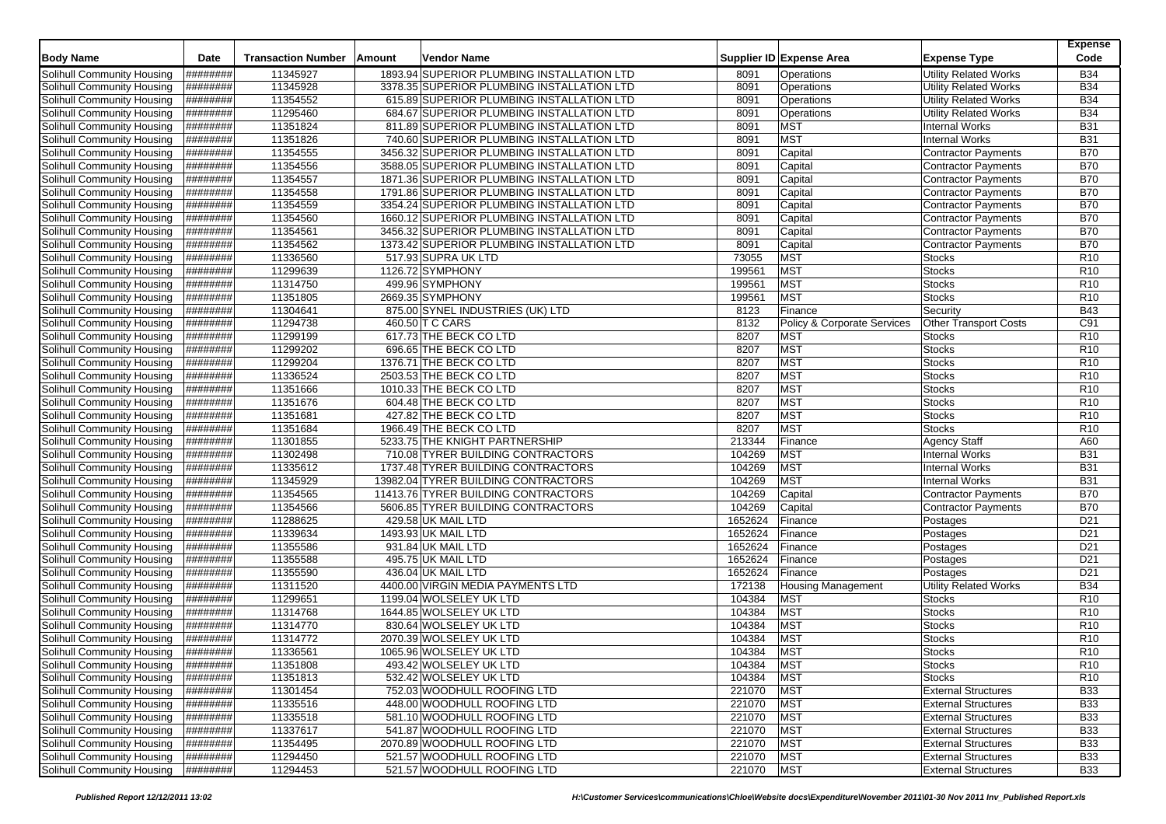| <b>Body Name</b>           | Date            | <b>Transaction Number</b> | Vendor Name<br>Amount                      |         | Supplier ID Expense Area               | <b>Expense Type</b>          | Expense<br>Code |
|----------------------------|-----------------|---------------------------|--------------------------------------------|---------|----------------------------------------|------------------------------|-----------------|
| Solihull Community Housing | ########        | 11345927                  | 1893.94 SUPERIOR PLUMBING INSTALLATION LTD | 8091    | Operations                             | <b>Utility Related Works</b> | <b>B34</b>      |
| Solihull Community Housing | ########        | 11345928                  | 3378.35 SUPERIOR PLUMBING INSTALLATION LTD | 8091    | Operations                             | <b>Utility Related Works</b> | <b>B34</b>      |
| Solihull Community Housing | ########        | 11354552                  | 615.89 SUPERIOR PLUMBING INSTALLATION LTD  | 8091    | Operations                             | Utility Related Works        | <b>B34</b>      |
| Solihull Community Housing | ########        | 11295460                  | 684.67 SUPERIOR PLUMBING INSTALLATION LTD  | 8091    | Operations                             | <b>Utility Related Works</b> | <b>B34</b>      |
| Solihull Community Housing | ########        | 11351824                  | 811.89 SUPERIOR PLUMBING INSTALLATION LTD  | 8091    | <b>MST</b>                             | <b>Internal Works</b>        | <b>B31</b>      |
| Solihull Community Housing | ########        | 11351826                  | 740.60 SUPERIOR PLUMBING INSTALLATION LTD  | 8091    | <b>MST</b>                             | <b>Internal Works</b>        | <b>B31</b>      |
| Solihull Community Housing | ########        | 11354555                  | 3456.32 SUPERIOR PLUMBING INSTALLATION LTD | 8091    | Capital                                | <b>Contractor Payments</b>   | <b>B70</b>      |
| Solihull Community Housing | ########        | 11354556                  | 3588.05 SUPERIOR PLUMBING INSTALLATION LTD | 8091    | Capital                                | <b>Contractor Payments</b>   | <b>B70</b>      |
| Solihull Community Housing | ########        | 11354557                  | 1871.36 SUPERIOR PLUMBING INSTALLATION LTD | 8091    | Capital                                | <b>Contractor Payments</b>   | <b>B70</b>      |
| Solihull Community Housing | ########        | 11354558                  | 1791.86 SUPERIOR PLUMBING INSTALLATION LTD | 8091    | Capital                                | <b>Contractor Payments</b>   | <b>B70</b>      |
| Solihull Community Housing | ########        | 11354559                  | 3354.24 SUPERIOR PLUMBING INSTALLATION LTD | 8091    | Capital                                | <b>Contractor Payments</b>   | <b>B70</b>      |
| Solihull Community Housing | ########        | 11354560                  | 1660.12 SUPERIOR PLUMBING INSTALLATION LTD | 8091    | Capital                                | <b>Contractor Payments</b>   | <b>B70</b>      |
| Solihull Community Housing | ########        | 11354561                  | 3456.32 SUPERIOR PLUMBING INSTALLATION LTD | 8091    | Capital                                | <b>Contractor Payments</b>   | <b>B70</b>      |
| Solihull Community Housing | ########        | 11354562                  | 1373.42 SUPERIOR PLUMBING INSTALLATION LTD | 8091    | Capital                                | <b>Contractor Payments</b>   | <b>B70</b>      |
| Solihull Community Housing | ########        | 11336560                  | 517.93 SUPRA UK LTD                        | 73055   | <b>MST</b>                             | <b>Stocks</b>                | R <sub>10</sub> |
| Solihull Community Housing | ########        | 11299639                  | 1126.72 SYMPHONY                           | 199561  | <b>MST</b>                             | <b>Stocks</b>                | R <sub>10</sub> |
| Solihull Community Housing | ########        | 11314750                  | 499.96 SYMPHONY                            | 199561  | <b>MST</b>                             | <b>Stocks</b>                | R <sub>10</sub> |
| Solihull Community Housing | ########        | 11351805                  | 2669.35 SYMPHONY                           | 199561  | <b>MST</b>                             | <b>Stocks</b>                | R <sub>10</sub> |
| Solihull Community Housing | ########        | 11304641                  | 875.00 SYNEL INDUSTRIES (UK) LTD           | 8123    | Finance                                | Security                     | <b>B43</b>      |
| Solihull Community Housing | ########        | 11294738                  | 460.50 T C CARS                            | 8132    | <b>Policy &amp; Corporate Services</b> | <b>Other Transport Costs</b> | C91             |
| Solihull Community Housing | ########        | 11299199                  | 617.73 THE BECK CO LTD                     | 8207    | <b>MST</b>                             | <b>Stocks</b>                | R <sub>10</sub> |
| Solihull Community Housing | ########        | 11299202                  | 696.65 THE BECK CO LTD                     | 8207    | <b>MST</b>                             | <b>Stocks</b>                | R <sub>10</sub> |
| Solihull Community Housing | ########        | 11299204                  | 1376.71 THE BECK CO LTD                    | 8207    | <b>MST</b>                             | <b>Stocks</b>                | R <sub>10</sub> |
| Solihull Community Housing | ########        | 11336524                  | 2503.53 THE BECK CO LTD                    | 8207    | <b>MST</b>                             | <b>Stocks</b>                | R <sub>10</sub> |
| Solihull Community Housing | ########        | 11351666                  | 1010.33 THE BECK CO LTD                    | 8207    | <b>MST</b>                             | <b>Stocks</b>                | R <sub>10</sub> |
| Solihull Community Housing | ########        | 11351676                  | 604.48 THE BECK CO LTD                     | 8207    | <b>MST</b>                             | <b>Stocks</b>                | R <sub>10</sub> |
| Solihull Community Housing | ########        | 11351681                  | 427.82 THE BECK CO LTD                     | 8207    | <b>MST</b>                             | <b>Stocks</b>                | R <sub>10</sub> |
| Solihull Community Housing | ########        | 11351684                  | 1966.49 THE BECK CO LTD                    | 8207    | <b>MST</b>                             | <b>Stocks</b>                | R <sub>10</sub> |
| Solihull Community Housing | ########        | 11301855                  | 5233.75 THE KNIGHT PARTNERSHIP             | 213344  | Finance                                | <b>Agency Staff</b>          | A60             |
| Solihull Community Housing | ########        | 11302498                  | 710.08 TYRER BUILDING CONTRACTORS          | 104269  | <b>MST</b>                             | <b>Internal Works</b>        | <b>B31</b>      |
| Solihull Community Housing | <b>########</b> | 11335612                  | 1737.48 TYRER BUILDING CONTRACTORS         | 104269  | <b>MST</b>                             | <b>Internal Works</b>        | <b>B31</b>      |
| Solihull Community Housing | ########        | 11345929                  | 13982.04 TYRER BUILDING CONTRACTORS        | 104269  | <b>MST</b>                             | Internal Works               | <b>B31</b>      |
| Solihull Community Housing | ########        | 11354565                  | 11413.76 TYRER BUILDING CONTRACTORS        | 104269  | Capital                                | <b>Contractor Payments</b>   | <b>B70</b>      |
| Solihull Community Housing | ########        | 11354566                  | 5606.85 TYRER BUILDING CONTRACTORS         | 104269  | Capital                                | Contractor Payments          | <b>B70</b>      |
| Solihull Community Housing | ########        | 11288625                  | 429.58 UK MAIL LTD                         | 1652624 | Finance                                | Postages                     | D <sub>21</sub> |
| Solihull Community Housing | ########        | 11339634                  | 1493.93 UK MAIL LTD                        | 1652624 | Finance                                | Postages                     | D <sub>21</sub> |
| Solihull Community Housing | ########        | 11355586                  | 931.84 UK MAIL LTD                         | 1652624 | Finance                                | Postages                     | D <sub>21</sub> |
| Solihull Community Housing | ########        | 11355588                  | 495.75 UK MAIL LTD                         | 1652624 | Finance                                | Postages                     | D <sub>21</sub> |
| Solihull Community Housing | ########        | 11355590                  | 436.04 UK MAIL LTD                         | 1652624 | Finance                                | Postages                     | D <sub>21</sub> |
| Solihull Community Housing | ########        | 11311520                  | 4400.00 VIRGIN MEDIA PAYMENTS LTD          | 172138  | Housing Management                     | <b>Utility Related Works</b> | <b>B34</b>      |
| Solihull Community Housing | ########        | 11299651                  | 1199.04 WOLSELEY UK LTD                    | 104384  | <b>MST</b>                             | <b>Stocks</b>                | R <sub>10</sub> |
| Solihull Community Housing | ########        | 11314768                  | 1644.85 WOLSELEY UK LTD                    | 104384  | <b>MST</b>                             | <b>Stocks</b>                | R <sub>10</sub> |
| Solihull Community Housing | ########        | 11314770                  | 830.64 WOLSELEY UK LTD                     | 104384  | <b>MST</b>                             | <b>Stocks</b>                | R <sub>10</sub> |
| Solihull Community Housing | ########        | 11314772                  | 2070.39 WOLSELEY UK LTD                    | 104384  | <b>MST</b>                             | Stocks                       | R <sub>10</sub> |
| Solihull Community Housing | ########        | 11336561                  | 1065.96 WOLSELEY UK LTD                    | 104384  | <b>MST</b>                             | <b>Stocks</b>                | R <sub>10</sub> |
| Solihull Community Housing | ########        | 11351808                  | 493.42 WOLSELEY UK LTD                     | 104384  | <b>MST</b>                             | Stocks                       | R <sub>10</sub> |
| Solihull Community Housing | ########        | 11351813                  | 532.42 WOLSELEY UK LTD                     | 104384  | <b>MST</b>                             | <b>Stocks</b>                | R <sub>10</sub> |
| Solihull Community Housing | ########        | 11301454                  | 752.03 WOODHULL ROOFING LTD                | 221070  | <b>MST</b>                             | <b>External Structures</b>   | <b>B33</b>      |
| Solihull Community Housing | ########        | 11335516                  | 448.00 WOODHULL ROOFING LTD                | 221070  | <b>MST</b>                             | <b>External Structures</b>   | <b>B33</b>      |
| Solihull Community Housing | ########        | 11335518                  | 581.10 WOODHULL ROOFING LTD                | 221070  | <b>MST</b>                             | <b>External Structures</b>   | <b>B33</b>      |
| Solihull Community Housing | ########        | 11337617                  | 541.87 WOODHULL ROOFING LTD                | 221070  | <b>MST</b>                             | <b>External Structures</b>   | <b>B33</b>      |
| Solihull Community Housing | ########        | 11354495                  | 2070.89 WOODHULL ROOFING LTD               | 221070  | <b>MST</b>                             | <b>External Structures</b>   | <b>B33</b>      |
| Solihull Community Housing | #########       | 11294450                  | 521.57 WOODHULL ROOFING LTD                | 221070  | <b>MST</b>                             | <b>External Structures</b>   | <b>B33</b>      |
| Solihull Community Housing | ########        | 11294453                  | 521.57 WOODHULL ROOFING LTD                | 221070  | <b>MST</b>                             | <b>External Structures</b>   | <b>B33</b>      |